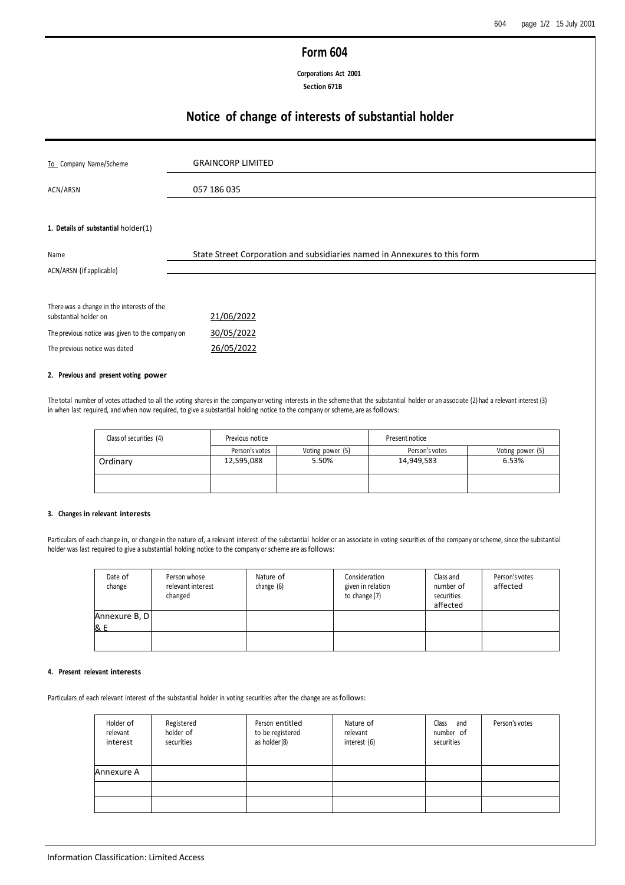## **Form 604**

**Corporations Act 2001 Section 671B**

# **Notice of change of interests of substantial holder**

| To Company Name/Scheme                          | <b>GRAINCORP LIMITED</b>                                                  |
|-------------------------------------------------|---------------------------------------------------------------------------|
| ACN/ARSN                                        | 057 186 035                                                               |
|                                                 |                                                                           |
|                                                 |                                                                           |
| 1. Details of substantial holder(1)             |                                                                           |
| Name                                            | State Street Corporation and subsidiaries named in Annexures to this form |
| ACN/ARSN (if applicable)                        |                                                                           |
|                                                 |                                                                           |
| There was a change in the interests of the      |                                                                           |
| substantial holder on                           | 21/06/2022                                                                |
| The previous notice was given to the company on | 30/05/2022                                                                |
| The previous notice was dated                   | 26/05/2022                                                                |

### **2. Previous and present voting power**

The total number of votes attached to all the voting sharesin the company or voting interests in the scheme that the substantial holder or an associate (2) had a relevant interest (3) in when last required, and when now required, to give a substantial holding notice to the company or scheme, are asfollows:

| Class of securities (4) | Previous notice |                  | Present notice |                  |
|-------------------------|-----------------|------------------|----------------|------------------|
|                         | Person's votes  | Voting power (5) | Person's votes | Voting power (5) |
| Ordinary                | 12,595,088      | 5.50%            | 14,949,583     | 6.53%            |
|                         |                 |                  |                |                  |

### **3. Changes in relevant interests**

Particulars of each change in, or change in the nature of, a relevant interest of the substantial holder or an associate in voting securities of the company or scheme, since the substantial holder was last required to give a substantial holding notice to the company or scheme are asfollows:

| Date of<br>change    | Person whose<br>relevant interest<br>changed | Nature of<br>change (6) | Consideration<br>given in relation<br>to change (7) | Class and<br>number of<br>securities<br>affected | Person's votes<br>affected |
|----------------------|----------------------------------------------|-------------------------|-----------------------------------------------------|--------------------------------------------------|----------------------------|
| Annexure B, D<br>& E |                                              |                         |                                                     |                                                  |                            |
|                      |                                              |                         |                                                     |                                                  |                            |

### **4. Present relevant interests**

Particulars of each relevant interest of the substantial holder in voting securities after the change are as follows:

| Holder of<br>relevant<br>interest | Registered<br>holder of<br>securities | Person entitled<br>to be registered<br>as holder (8) | Nature of<br>relevant<br>interest (6) | Class and<br>number of<br>securities | Person's votes |
|-----------------------------------|---------------------------------------|------------------------------------------------------|---------------------------------------|--------------------------------------|----------------|
| Annexure A                        |                                       |                                                      |                                       |                                      |                |
|                                   |                                       |                                                      |                                       |                                      |                |
|                                   |                                       |                                                      |                                       |                                      |                |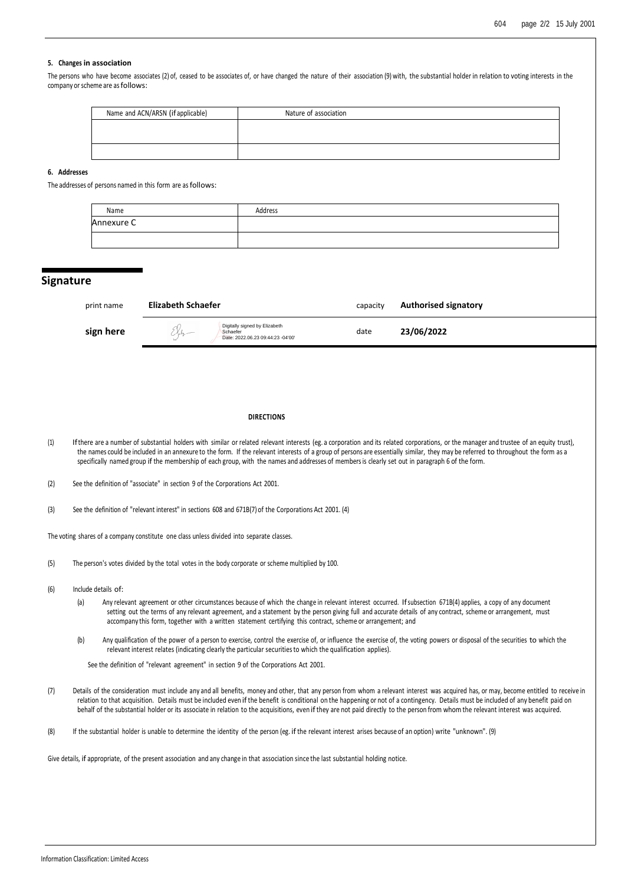### **5. Changes in association**

The persons who have become associates (2) of, ceased to be associates of, or have changed the nature of their association (9) with, the substantial holder in relation to voting interests in the company or scheme are as follows:

| Name and ACN/ARSN (if applicable) | Nature of association |
|-----------------------------------|-----------------------|
|                                   |                       |
|                                   |                       |
|                                   |                       |

### **6. Addresses**

The addresses of persons named in this form are as follows:

| Name       | Address |
|------------|---------|
| Annexure C |         |
|            |         |

### **Signature**

| print name | <b>Elizabeth Schaefer</b>                                                                   |      | <b>Authorised signatory</b> |
|------------|---------------------------------------------------------------------------------------------|------|-----------------------------|
| sign here  | Digitally signed by Elizabeth<br>$X_{\nu}$<br>Schaefer<br>Date: 2022.06.23 09:44:23 -04'00' | date | 23/06/2022                  |

#### **DIRECTIONS**

- (1) Ifthere are a number of substantial holders with similar or related relevant interests (eg. a corporation and its related corporations, or the manager and trustee of an equity trust), the names could be included in an annexure to the form. If the relevant interests of a group of persons are essentially similar, they may be referred to throughout the form as a specifically named group if the membership of each group, with the names and addresses of membersis clearly set out in paragraph 6 of the form.
- (2) See the definition of "associate" in section 9 of the Corporations Act 2001.
- (3) See the definition of "relevant interest" in sections 608 and 671B(7) of the Corporations Act 2001. (4)

The voting shares of a company constitute one class unless divided into separate classes.

- (5) The person's votes divided by the total votes in the body corporate or scheme multiplied by 100.
- (6) Include details of:
	- (a) Any relevant agreement or other circumstances because of which the change in relevant interest occurred. Ifsubsection 671B(4) applies, a copy of any document setting out the terms of any relevant agreement, and a statement by the person giving full and accurate details of any contract, scheme or arrangement, must accompany this form, together with a written statement certifying this contract, scheme or arrangement; and
	- (b) Any qualification of the power of a person to exercise, control the exercise of, or influence the exercise of, the voting powers or disposal of the securities to which the relevant interest relates (indicating clearly the particular securitiesto which the qualification applies).

See the definition of "relevant agreement" in section 9 of the Corporations Act 2001.

(7) Details of the consideration must include any and all benefits, money and other, that any person from whom a relevant interest was acquired has, or may, become entitled to receive in relation to that acquisition. Details must be included even if the benefit is conditional on the happening or not of a contingency. Details must be included of any benefit paid on behalf of the substantial holder or its associate in relation to the acquisitions, even if they are not paid directly to the person from whom the relevant interest was acquired.

(8) If the substantial holder is unable to determine the identity of the person (eg. if the relevant interest arises because of an option) write "unknown". (9)

Give details, if appropriate, of the present association and any change in that association since the last substantial holding notice.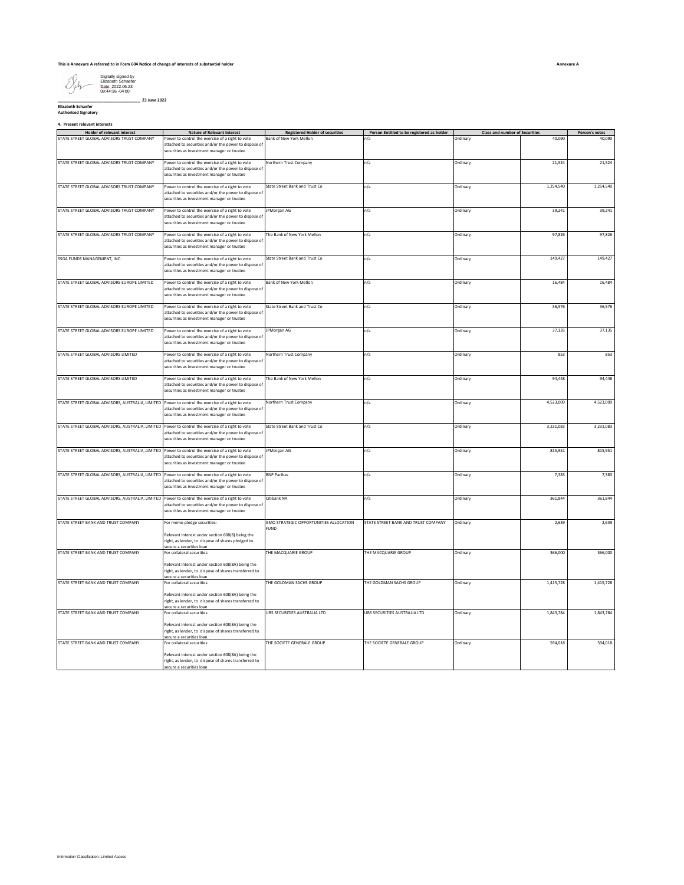

**\_\_\_\_\_\_\_\_\_\_\_\_\_\_\_\_\_\_\_\_\_\_\_\_\_\_\_\_\_\_\_\_\_\_\_\_ 23 June 2022 Elizabeth Schaefer Authorised Signatory**

**4. Present relevant interests**

| Holder of relevant interest                                                                       | <b>Nature of Relevant Interest</b>                                                                                                                                   | <b>Registered Holder of securities</b>         | Person Entitled to be registered as holder | <b>Class and number of Securities</b> |           | Person's votes |
|---------------------------------------------------------------------------------------------------|----------------------------------------------------------------------------------------------------------------------------------------------------------------------|------------------------------------------------|--------------------------------------------|---------------------------------------|-----------|----------------|
| STATE STREET GLOBAL ADVISORS TRUST COMPANY                                                        | Power to control the exercise of a right to vote<br>attached to securities and/or the power to dispose of<br>securities as investment manager or trustee             | Bank of New York Mellon                        | n/a                                        | Ordinary                              | 40,090    | 40,090         |
| STATE STREET GLOBAL ADVISORS TRUST COMPANY                                                        | Power to control the exercise of a right to vote<br>attached to securities and/or the power to dispose of<br>securities as investment manager or trustee             | Northern Trust Company                         | n/a                                        | Ordinary                              | 21,524    | 21,524         |
| STATE STREET GLOBAL ADVISORS TRUST COMPANY                                                        | Power to control the exercise of a right to vote<br>attached to securities and/or the power to dispose of<br>securities as investment manager or trustee             | State Street Bank and Trust Co                 | n/a                                        | Ordinary                              | 1,254,540 | 1,254,540      |
| STATE STREET GLOBAL ADVISORS TRUST COMPANY                                                        | Power to control the exercise of a right to vote<br>attached to securities and/or the power to dispose of<br>securities as investment manager or trustee             | PMorgan AG                                     | n/a                                        | Ordinary                              | 39,241    | 39,241         |
| STATE STREET GLOBAL ADVISORS TRUST COMPANY                                                        | Power to control the exercise of a right to vote<br>attached to securities and/or the power to dispose of<br>securities as investment manager or trustee             | The Bank of New York Mellon                    | n/a                                        | Ordinary                              | 97,826    | 97,826         |
| SSGA FUNDS MANAGEMENT, INC.                                                                       | Power to control the exercise of a right to vote<br>attached to securities and/or the power to dispose of<br>securities as investment manager or trustee             | State Street Bank and Trust Co                 | n/a                                        | Ordinary                              | 149,427   | 149,427        |
| STATE STREET GLOBAL ADVISORS EUROPE LIMITED                                                       | Power to control the exercise of a right to vote<br>attached to securities and/or the power to dispose of<br>securities as investment manager or trustee             | Bank of New York Mellon                        | n/a                                        | Ordinary                              | 16,484    | 16,484         |
| STATE STREET GLOBAL ADVISORS EUROPE LIMITED                                                       | Power to control the exercise of a right to vote<br>attached to securities and/or the power to dispose of<br>securities as investment manager or trustee             | State Street Bank and Trust Co.                | n/a                                        | Ordinary                              | 36.576    | 36,576         |
| STATE STREET GLOBAL ADVISORS EUROPE LIMITED                                                       | Power to control the exercise of a right to vote<br>attached to securities and/or the power to dispose of<br>securities as investment manager or trustee             | <b>IPMorgan AG</b>                             | n/a                                        | Ordinary                              | 37,135    | 37,135         |
| STATE STREET GLOBAL ADVISORS LIMITED                                                              | Power to control the exercise of a right to vote<br>attached to securities and/or the power to dispose of<br>securities as investment manager or trustee             | <b>Northern Trust Company</b>                  | n/a                                        | Ordinary                              | 853       | 853            |
| STATE STREET GLOBAL ADVISORS LIMITED                                                              | Power to control the exercise of a right to vote<br>attached to securities and/or the power to dispose of<br>securities as investment manager or trustee             | The Bank of New York Mellon                    | n/a                                        | Ordinary                              | 94,448    | 94,448         |
| STATE STREET GLOBAL ADVISORS, AUSTRALIA, LIMITED Power to control the exercise of a right to vote | attached to securities and/or the power to dispose of<br>securities as investment manager or trustee                                                                 | Northern Trust Company                         | n/a                                        | Ordinary                              | 4,523,009 | 4,523,009      |
| STATE STREET GLOBAL ADVISORS, AUSTRALIA, LIMITED Power to control the exercise of a right to vote | attached to securities and/or the power to dispose of<br>securities as investment manager or trustee                                                                 | State Street Bank and Trust Co                 | n/a                                        | Ordinary                              | 3,231,083 | 3,231,083      |
| STATE STREET GLOBAL ADVISORS, AUSTRALIA, LIMITED Power to control the exercise of a right to vote | attached to securities and/or the power to dispose of<br>securities as investment manager or trustee                                                                 | JPMorgan AG                                    | n/a                                        | Ordinary                              | 815,951   | 815,951        |
| STATE STREET GLOBAL ADVISORS, AUSTRALIA, LIMITED Power to control the exercise of a right to vote | attached to securities and/or the power to dispose of<br>securities as investment manager or trustee                                                                 | <b>BNP Paribas</b>                             | n/a                                        | Ordinary                              | 7,383     | 7,383          |
| STATE STREET GLOBAL ADVISORS, AUSTRALIA, LIMITED Power to control the exercise of a right to vote | attached to securities and/or the power to dispose of<br>securities as investment manager or trustee                                                                 | Citibank NA                                    | n/a                                        | Ordinary                              | 361,844   | 361,844        |
| STATE STREET BANK AND TRUST COMPANY                                                               | For memo pledge securities:<br>Relevant interest under section 608(8) being the<br>right, as lender, to dispose of shares pledged to<br>secure a securities loan     | GMO STRATEGIC OPPORTUNITIES ALLOCATION<br>FUND | STATE STREET BANK AND TRUST COMPANY        | Ordinary                              | 2,639     | 2,639          |
| STATE STREET BANK AND TRUST COMPANY                                                               | For collateral securities:<br>Relevant interest under section 608(8A) being the<br>right, as lender, to dispose of shares transferred to<br>ecure a securities loan  | THE MACQUARIE GROUP                            | THE MACQUARIE GROUP                        | Ordinary                              | 366,000   | 366,000        |
| STATE STREET BANK AND TRUST COMPANY                                                               | For collateral securities:<br>Relevant interest under section 608(8A) being the<br>right, as lender, to dispose of shares transferred to<br>secure a securities loan | THE GOLDMAN SACHS GROUP                        | THE GOLDMAN SACHS GROUP                    | Ordinary                              | 1,415,728 | 1,415,728      |
| STATE STREET BANK AND TRUST COMPANY                                                               | For collateral securities:<br>Relevant interest under section 608(8A) being the<br>right, as lender, to dispose of shares transferred to<br>secure a securities loan | UBS SECURITIES AUSTRALIA LTD                   | UBS SECURITIES AUSTRALIA LTD               | Ordinary                              | 1,843,784 | 1,843,784      |
| STATE STREET BANK AND TRUST COMPANY                                                               | For collateral securities:<br>Relevant interest under section 608(8A) being the<br>right, as lender, to dispose of shares transferred to<br>secure a securities loan | THE SOCIETE GENERALE GROUP                     | THE SOCIETE GENERALE GROUP                 | Ordinary                              | 594,018   | 594,018        |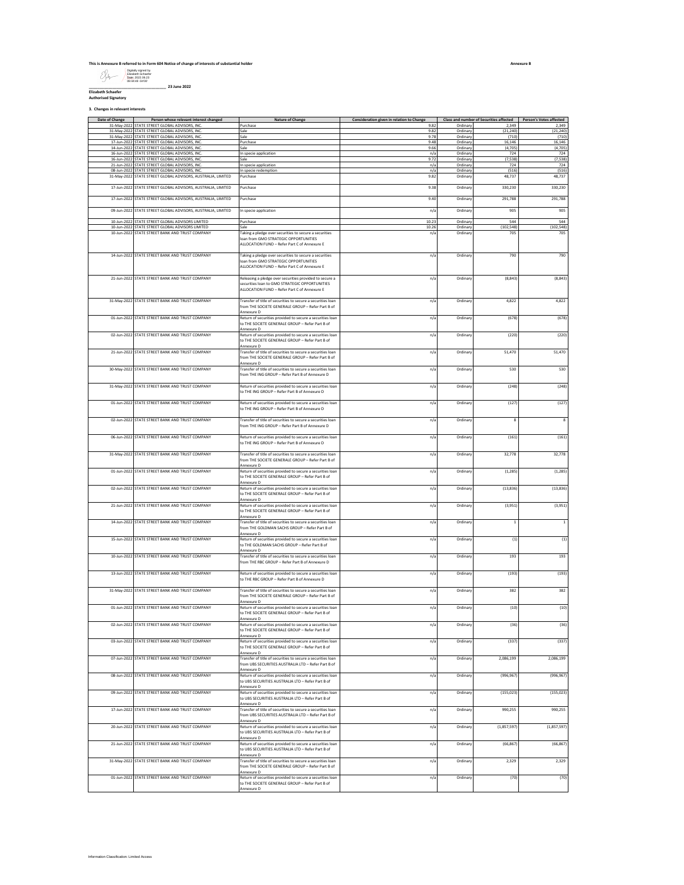| This is Annexure B referred to in Form 604 Notice of change of interests of substantial holder |                                                                                  |  |  |  |  |
|------------------------------------------------------------------------------------------------|----------------------------------------------------------------------------------|--|--|--|--|
|                                                                                                | Digitally signed by<br>Elizabeth Schaefer<br>Date: 2022.06.23<br>09:44:49 -04100 |  |  |  |  |
|                                                                                                | 23 June 2022                                                                     |  |  |  |  |
| <b>Flizabeth Schaefer</b>                                                                      |                                                                                  |  |  |  |  |

**Authorised Signatory**

**3. Changes in relevant interests**

Date of Change **Person whose relevant interest changed** Nature of Change **Consideration given in relation to Change** Class and number of Securities affected Person's Votes affected **STATE STREET GLOBAL ADVISORS, INC.** PURCHASE PURCHASE 9.82 ORDINARY 2.92 ORDINARY 2.92 ORDINARY 2.92 ORDINARY 2,349 31-May-2022 STATE STREET GLOBAL ADVISORS, INC. Sale 9.82 Ordinary (21,240) (21,240) 31-May-2022 STATE STREET GLOBAL ADVISORS, MCC. Sale 9.38 Ordinary (710) (710) (710) (710) (710) (710) (710) (7<br>17-Jun-2022 STATE STREET GLOBAL ADVISORS, NC. Served Because Communication (710) (710) (710) (710) (710) (710 **STATE STREET GLOBAL ADVISORS, INC.** 14-Jun-2022 STATE STREET GLOBAL ADVISORS, INC. Sale 9.66 Ordinary (4,705) (4,705) 16-Jun-2022 STATE STREET GLOBAL ADVISORS, INC. In specie application n/a Ordinary 724 724 16-Jun-2022 STATE STREET GLOBAL ADVISORS, INC. Sale 9.72 Ordinary (7,538) (7,538) 21-Jun-2022 STATE STREET GLOBAL ADVISORS, INC. In specie application n/a Ordinary 724 724 08-Jun-2022 STATE STREET GLOBAL ADVISORS, INC. In specie redemption n/a Ordinary (516) (516) 31-May-2022 STATE STREET GLOBAL ADVISORS, AUSTRALIA, LIMITED Purchase 9.82 ordinary 9.82 Ordinary 48,737 48,737 48,737 48,737 48,737 48,737 48,737 48,737 48,737 48,737 48,737 48,737 48,737 48,737 48,737 48,737 48,737 48,73 17-Jun-2022 STATE STREET GLOBAL ADVISORS, AUSTRALIA, LIMITED Purchase 9.38 Ordinary 330,230 330,230 17-Jun-2022 STATE STREET GLOBAL ADVISORS, AUSTRALIA, LIMITED Purchase 9.40 Ordinary 291,788 291,788 09-Jun-2022 STATE STREET GLOBAL ADVISORS, AUSTRALIA, LIMITED In specie application n/a Ordinary 905 905 1971 - Jun-2020 State State Street Guide (1999) - Jun-2022 State Street Street Street Street Street Street Str<br>1971 - Jun-2022 Street Street Street Street Street Street Street Street Street Street Street Street Street Str<br> 10-Jun-2022 STATE STREET GLOBAL ADVISORS UNITED<br>10-Jun-2022 STATE STREET BANK AND TRUST COMPANY Taking a pledge over securities to secure a securities of the main and the company of the company of the company of the compan n/a Ordinary 705 705 14-Jun-2022 STATE STREET BANK AND TRUST COMPANY Taking a pledge over securities to secure a securities loan from GMO STRATEGIC OPPORTUNITIES ALLOCATION FUND – Refer Part C of Annexure E n/a Ordinary 790 790 21-Jun-2022 STATE STREET BANK AND TRUST COMPANY Releasing a pledge over securities provided to secure a securities loan to GMO STRATEGIC OPPORTUNITIES ALLOCATION FUND – Refer Part C of Annexure E n/a Ordinary (8,843) (8,843) 31-May-2022 STATE STREET BANK AND TRUST COMPANY Transfer of title of securities to secure a securities loan from THE SOCIETE GENERALE GROUP – Refer Part B of Annexure D<br>D1-Jun-2022 STATE STREET BANK AND TRUST COMPANY Return of securities provided to secure a securities loan<br>to THE SOCIETE GENERALE GROUP – Refer Part B of n/a Ordinary 4,822 4,822 Annexure D<br>102-Jun-2022 STATE STREET BANK AND TRUST COMPANY Return of securities provided to secure a securities loan<br>10 THE SOCIETE GENERALE GROUP – Refer Part B of n/a Ordinary (678) (678) Annexure D n/a Ordinary (220) (220) 21-Jun-2022 STATE STREET BANK AND TRUST COMPANY from THE SOCIETE GENERALE GROUP – Refer Part B of Annexure D<br>30-May-2022 STATE STREET BANK AND TRUST COMPANY Transfer of title of securities to secure a securities loan<br>from THE ING GROUP – Refer Part B of Annexure D n/a Ordinary 51,470 51,470 n/a Ordinary 530 530 31-May-2022 STATE STREET BANK AND TRUST COMPANY Return of securities provided to secure a securities loan to THE ING GROUP – Refer Part B of Annexure D n/a Ordinary (248) (248) 01-Jun-2022 STATE STREET BANK AND TRUST COMPANY Return of securities provided to secure a securities loan to THE ING GROUP – Refer Part B of Annexure D n/a Ordinary (127) (127) 02-Jun-2022 STATE STREET BANK AND TRUST COMPANY Transfer of title of securities to secure a securities loan from THE ING GROUP – Refer Part B of Annexure D n/a Ordinary 8 8 06-Jun-2022 STATE STREET BANK AND TRUST COMPANY Return of securities provided to secure a securities loan to THE ING GROUP – Refer Part B of Annexure D n/a Ordinary (161) (161) 31-May-2022 STATE STREET BANK AND TRUST COMPANY Transfer of title of securities to secure a securities loan from THE SOCIETE GENERALE GROUP – Refer Part B of Annexure D n/a Ordinary 32,778 32,778 01-Jun-2022 STATE STREET BANK AND TRUST COMPANY Return of securities provided to secure a securities loan to THE SOCIETE GENERALE GROUP – Refer Part B of Annexure D<br>102-Jun-2022 STATE STREET BANK AND TRUST COMPANY Return of securities provided to secure a securities loan<br>10 THE SOCIETE GENERALE GROUP – Refer Part B of n/a Ordinary (1,285) (1,285) nexure D n/a Ordinary (13,836) (13,836) 21-Jun-2022 STATE STREET BANK AND TRUST COMPANY Return of securities provided to secure a securities loan to THE SOCIETE GENERALE GROUP – Refer Part B of Annexure D n/a Ordinary (3,951) (3,951) 14-Jun-2022 STATE STREET BANK AND TRUST COMPANY Transfer of title of securities to secure a securities loan from THE GOLDMAN SACHS GROUP – Refer Part B of Annexure D n/a Ordinary 1 1 15-Jun-2022 STATE STREET BANK AND TRUST COMPANY to THE GOLDMAN SACHS GROUP – Refer Part B of Annexure D<br>10-Jun-2022 STATE STREET BANK AND TRUST COMPANY Transfer of title of securities to secure a securities loan n/a Ordinary (1) (1) from THE RBC GROUP – Refer Part B of Annexure D n/a Ordinary 193 193 13-Jun-2022 STATE STREET BANK AND TRUST COMPANY Return of securities provided to secure a securities loan to THE RBC GROUP – Refer Part B of Annexure D n/a Ordinary (193) (193) 31-May-2022 STATE STREET BANK AND TRUST COMPANY Transfer of title of securities to secure a securities loan from THE SOCIETE GENERALE GROUP – Refer Part B of Annexure D n/a Ordinary 382 382 01-Jun-2022 STATE STREET BANK AND TRUST COMPANY Return of securities provided to secure a securities loan (199<br>to THE SOCIETE GENERALE GROUP – Refer Part B of Annexure D<br>102-Jun-2022 STATE STREET BANK AND TRUST COMPANY Return of securities provided to secure a securities loan<br>10 THE SOCIETE GENERALE GROUP – Refer Part B of n/a Ordinary (10) (10) Annexure D<br>103-Jun-2022 STATE STREET BANK AND TRUST COMPANY Return of securities provided to secure a securities loan<br>10 THE SOCIETE GENERALE GROUP – Refer Part B of n/a Ordinary (36) (36) Annexure D<br>Transfer of title of securities to securities loan (from UBS SECURITIES AUSTRALIA LTD – Refer Part B of<br>Annexure D<br>Annexure D n/a Ordinary (337) (337) n/a Ordinary 2,086,199 2,086,199 08-Jun-2022 STATE STREET BANK AND TRUST COMPANY Return of securities provided to secure a securities loan to UBS SECURITIES AUSTRALIA LTD – Refer Part B of Annexure D<br>19-Jun-2022 STATE STREET BANK AND TRUST COMPANY Return of securities provided to secure a securities loan<br>to UBS SECURITIES AUSTRALIA LTD – Refer Part B of Ordinary (996,967) (996,96 Annexure D 17-Jun-2022 STATE STREET BANK AND TRUST COMPANY Transfer of title of securities to secure a securities loan n/a Ordinary (155,023) (155,023) from UBS SECURITIES AUSTRALIA LTD – Refer Part B of Annexure D n/a Ordinary 990,255 990,255 20-Jun-2022 STATE STREET BANK AND TRUST COMPANY to UBS SECURITIES AUSTRALIA LTD – Refer Part B of Annexure D Ordinary (1,857,597) (1,857,59 21-Jun-2022 STATE STREET BANK AND TRUST COMPANY Return of securities provided to secure a securities loan to UBS SECURITIES AUSTRALIA LTD – Refer Part B of Annexure D Ordinary (66,867) (66,867) 31-May-2022 STATE STREET BANK AND TRUST COMPANY Transfer of title of securities to secure a securities loan from THE SOCIETE GENERALE GROUP – Refer Part B of Annexure D<br>1-Jun-2022 STATE STREET BANK AND TRUST COMPANY Return of securities provided to secure a securities loan<br>10 THE SOCIETE GENERALE GROUP – Refer Part B of n/a Ordinary 2,329 2,329 Annexure D n/a Ordinary (70) (70)

**Annexure B**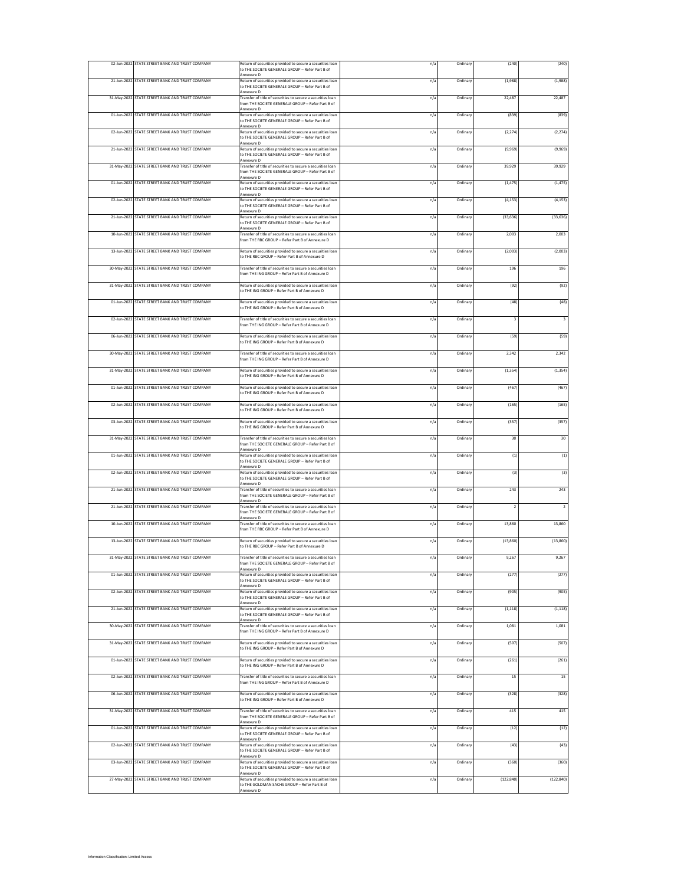| 02-Jun-2022 STATE STREET BANK AND TRUST COMPANY |                                                                                                                                |     |          |                         |                |
|-------------------------------------------------|--------------------------------------------------------------------------------------------------------------------------------|-----|----------|-------------------------|----------------|
|                                                 | Return of securities provided to secure a securities loan<br>to THE SOCIETE GENERALE GROUP - Refer Part B of<br>Annexure D     | n/a | Ordinar  | (240)                   | (240)          |
| 21-Jun-2022 STATE STREET BANK AND TRUST COMPANY | Return of securities provided to secure a securities loan<br>to THE SOCIETE GENERALE GROUP - Refer Part B of                   | n/a | Ordinary | (1,988)                 | (1,988)        |
| 31-May-2022 STATE STREET BANK AND TRUST COMPANY | Annexure D<br>Transfer of title of securities to secure a securities loan                                                      | n/a | Ordinar  | 22,487                  | 22,487         |
|                                                 | from THE SOCIETE GENERALE GROUP - Refer Part B of<br>Annexure D                                                                |     |          |                         |                |
| 01-Jun-2022 STATE STREET BANK AND TRUST COMPANY | Return of securities provided to secure a securities loan<br>to THE SOCIETE GENERALE GROUP - Refer Part B of                   | n/a | Ordinary | (839)                   | (839)          |
| 02-Jun-2022 STATE STREET BANK AND TRUST COMPANY | Annexure D<br>Return of securities provided to secure a securities loan                                                        | n/a | Ordinan  | (2, 274)                | (2, 274)       |
|                                                 | to THE SOCIETE GENERALE GROUP - Refer Part B of<br>Annexure D                                                                  |     |          |                         |                |
| 21-Jun-2022 STATE STREET BANK AND TRUST COMPANY | Return of securities provided to secure a securities loan<br>to THE SOCIETE GENERALE GROUP - Refer Part B of<br>Annexure D     | n/a | Ordinary | (9,969)                 | (9,969)        |
| 31-May-2022 STATE STREET BANK AND TRUST COMPANY | Transfer of title of securities to secure a securities loan<br>from THE SOCIETE GENERALE GROUP - Refer Part B of               | n/a | Ordinar  | 39,929                  | 39,929         |
| 01-Jun-2022 STATE STREET BANK AND TRUST COMPANY | Annexure D<br>Return of securities provided to secure a securities loan                                                        | n/a | Ordinar  | (1, 475)                | (1, 475)       |
|                                                 | to THE SOCIETE GENERALE GROUP - Refer Part B of<br>Annexure D                                                                  |     |          |                         |                |
| 02-Jun-2022 STATE STREET BANK AND TRUST COMPANY | Return of securities provided to secure a securities loan<br>to THE SOCIETE GENERALE GROUP - Refer Part B of                   | n/a | Ordinar  | (4, 153)                | (4, 153)       |
| 21-Jun-2022 STATE STREET BANK AND TRUST COMPANY | Annexure D<br>Return of securities provided to secure a securities loan                                                        | n/a | Ordinary | (33, 636)               | (33, 636)      |
| 10-Jun-2022 STATE STREET BANK AND TRUST COMPANY | to THE SOCIETE GENERALE GROUP - Refer Part B of<br>Annexure D<br>Transfer of title of securities to secure a securities loan   | n/a | Ordinar  | 2.003                   | 2,003          |
|                                                 | from THE RBC GROUP - Refer Part B of Annexure D                                                                                |     |          |                         |                |
| 13-Jun-2022 STATE STREET BANK AND TRUST COMPANY | Return of securities provided to secure a securities loan<br>to THE RBC GROUP - Refer Part B of Annexure D                     | n/a | Ordinar  | (2,003)                 | (2,003)        |
| 30-May-2022 STATE STREET BANK AND TRUST COMPANY | Transfer of title of securities to secure a securities loan                                                                    | n/a | Ordinar  | 196                     | 196            |
| 31-May-2022 STATE STREET BANK AND TRUST COMPANY | from THE ING GROUP - Refer Part B of Annexure D                                                                                |     |          |                         |                |
|                                                 | Return of securities provided to secure a securities loan<br>to THE ING GROUP - Refer Part B of Annexure D                     | n/a | Ordinar  | (92)                    | (92)           |
| 01-Jun-2022 STATE STREET BANK AND TRUST COMPANY | Return of securities provided to secure a securities loan<br>to THE ING GROUP - Refer Part B of Annexure D                     | n/a | Ordinar  | (48)                    | (48)           |
| 02-Jun-2022 STATE STREET BANK AND TRUST COMPANY | Transfer of title of securities to secure a securities loan                                                                    | n/a | Ordinary | $\overline{\mathbf{3}}$ | $\mathsf 3$    |
|                                                 | from THE ING GROUP - Refer Part B of Annexure D                                                                                |     |          |                         |                |
| 06-Jun-2022 STATE STREET BANK AND TRUST COMPANY | Return of securities provided to secure a securities loan<br>to THE ING GROUP - Refer Part B of Annexure D                     | n/a | Ordinan  | (59)                    | (59)           |
| 30-May-2022 STATE STREET BANK AND TRUST COMPANY | Transfer of title of securities to secure a securities loan<br>from THE ING GROUP - Refer Part B of Annexure D                 | n/a | Ordinar  | 2,342                   | 2,342          |
| 31-May-2022 STATE STREET BANK AND TRUST COMPANY | Return of securities provided to secure a securities loan                                                                      | n/a | Ordinar  | (1, 354)                | (1, 354)       |
|                                                 | to THE ING GROUP - Refer Part B of Annexure D                                                                                  |     |          |                         |                |
| 01-Jun-2022 STATE STREET BANK AND TRUST COMPANY | Return of securities provided to secure a securities loan<br>to THE ING GROUP - Refer Part B of Annexure D                     | n/a | Ordinar  | (467)                   | (467)          |
| 02-Jun-2022 STATE STREET BANK AND TRUST COMPANY | Return of securities provided to secure a securities loan<br>to THE ING GROUP - Refer Part B of Annexure D                     | n/a | Ordinar  | (165)                   | (165)          |
| 03-Jun-2022 STATE STREET BANK AND TRUST COMPANY | Return of securities provided to secure a securities loan                                                                      | n/a | Ordinary | (357)                   | (357)          |
|                                                 | to THE ING GROUP - Refer Part B of Annexure D                                                                                  |     |          |                         |                |
| 31-May-2022 STATE STREET BANK AND TRUST COMPANY | Transfer of title of securities to secure a securities loan<br>from THE SOCIETE GENERALE GROUP - Refer Part B of               | n/a | Ordinar  | 30                      | 30             |
| 01-Jun-2022 STATE STREET BANK AND TRUST COMPANY | Annexure D<br>Return of securities provided to secure a securities loan                                                        | n/a | Ordinar  | (1)                     | (1)            |
| 02-Jun-2022 STATE STREET BANK AND TRUST COMPANY | to THE SOCIETE GENERALE GROUP - Refer Part B of<br>Annexure D<br>Return of securities provided to secure a securities loan     | n/a | Ordinar  | (3)                     | (3)            |
|                                                 | to THE SOCIETE GENERALE GROUP - Refer Part B of<br>Annexure D                                                                  |     |          |                         |                |
| 21-Jun-2022 STATE STREET BANK AND TRUST COMPANY | Transfer of title of securities to secure a securities loan<br>from THE SOCIETE GENERALE GROUP - Refer Part B of               | n/a | Ordinar  | 243                     | 243            |
| 21-Jun-2022 STATE STREET BANK AND TRUST COMPANY | Annexure D<br>Transfer of title of securities to secure a securities loan                                                      | n/a | Ordinar  | $\overline{2}$          | $\overline{2}$ |
| 10-Jun-2022 STATE STREET BANK AND TRUST COMPANY | from THE SOCIETE GENERALE GROUP - Refer Part B of<br>Annexure D<br>Transfer of title of securities to secure a securities loan | n/a | Ordinary | 13,860                  | 13,860         |
|                                                 | from THE RBC GROUP - Refer Part B of Annexure D                                                                                |     |          |                         |                |
| 13-Jun-2022 STATE STREET BANK AND TRUST COMPANY | Return of securities provided to secure a securities loan<br>to THE RBC GROUP - Refer Part B of Annexure D                     | n/a | Ordinan  | (13, 860)               | (13,860)       |
| 31-May-2022 STATE STREET BANK AND TRUST COMPANY | Transfer of title of securities to secure a securities loan                                                                    | n/a | Ordinary | 9,267                   | 9,267          |
|                                                 | from THE SOCIETE GENERALE GROUP - Refer Part B of<br>Annexure D                                                                |     |          |                         |                |
| 01-Jun-2022 STATE STREET BANK AND TRUST COMPANY | Return of securities provided to secure a securities loan<br>to THE SOCIETE GENERALE GROUP - Refer Part B of<br>Annexure D     | n/a | Ordinar  | (277)                   | (277)          |
| 02-Jun-2022 STATE STREET BANK AND TRUST COMPANY | Return of securities provided to secure a securities loan<br>to THE SOCIETE GENERALE GROUP - Refer Part B of                   | n/a | Ordinary | (905)                   | (905)          |
| 21-Jun-2022 STATE STREET BANK AND TRUST COMPANY | Annexure D<br>Return of securities provided to secure a securities loan                                                        | n/a | Ordinary | (1, 118)                | (1, 118)       |
|                                                 | to THE SOCIETE GENERALE GROUP - Refer Part B of<br>Annexure D                                                                  |     |          |                         |                |
| 30-May-2022 STATE STREET BANK AND TRUST COMPANY | Transfer of title of securities to secure a securities loan<br>from THE ING GROUP - Refer Part B of Annexure D                 | n/a | Ordinary | 1,081                   | 1,081          |
| 31-May-2022 STATE STREET BANK AND TRUST COMPANY | Return of securities provided to secure a securities loan<br>to THE ING GROUP - Refer Part B of Annexure D                     | n/a | Ordinan  | (507)                   | (507)          |
| 01-Jun-2022 STATE STREET BANK AND TRUST COMPANY | Return of securities provided to secure a securities loan                                                                      | n/a | Ordinan  | (261)                   | (261)          |
|                                                 | to THE ING GROUP - Refer Part B of Annexure D                                                                                  |     |          |                         |                |
| 02-Jun-2022 STATE STREET BANK AND TRUST COMPANY | Transfer of title of securities to secure a securities loan<br>from THE ING GROUP - Refer Part B of Annexure D                 | n/a | Ordinary | 15                      | 15             |
| 06-Jun-2022 STATE STREET BANK AND TRUST COMPANY | Return of securities provided to secure a securities loan<br>to THE ING GROUP - Refer Part B of Annexure D                     | n/a | Ordinar  | (328)                   | (328)          |
| 31-May-2022 STATE STREET BANK AND TRUST COMPANY | Transfer of title of securities to secure a securities loan                                                                    | n/a | Ordinary | 415                     | 415            |
|                                                 | from THE SOCIETE GENERALE GROUP - Refer Part B of<br>Annexure D                                                                |     |          |                         |                |
| 01-Jun-2022 STATE STREET BANK AND TRUST COMPANY | Return of securities provided to secure a securities loan<br>to THE SOCIETE GENERALE GROUP - Refer Part B of<br>Annexure D     | n/a | Ordinary | (12)                    | (12)           |
| 02-Jun-2022 STATE STREET BANK AND TRUST COMPANY | Return of securities provided to secure a securities loan<br>to THE SOCIETE GENERALE GROUP - Refer Part B of                   | n/a | Ordinan  | (43)                    | (43)           |
| 03-Jun-2022 STATE STREET BANK AND TRUST COMPANY | Annexure D<br>Return of securities provided to secure a securities loan                                                        | n/a | Ordinan  | (360)                   | (360)          |
|                                                 | to THE SOCIETE GENERALE GROUP - Refer Part B of<br>Annexure D                                                                  |     |          |                         |                |
| 27-May-2022 STATE STREET BANK AND TRUST COMPANY | Return of securities provided to secure a securities loan<br>to THE GOLDMAN SACHS GROUP - Refer Part B of                      | n/a | Ordinary | (122, 840)              | (122, 840)     |
|                                                 | Annexure D                                                                                                                     |     |          |                         |                |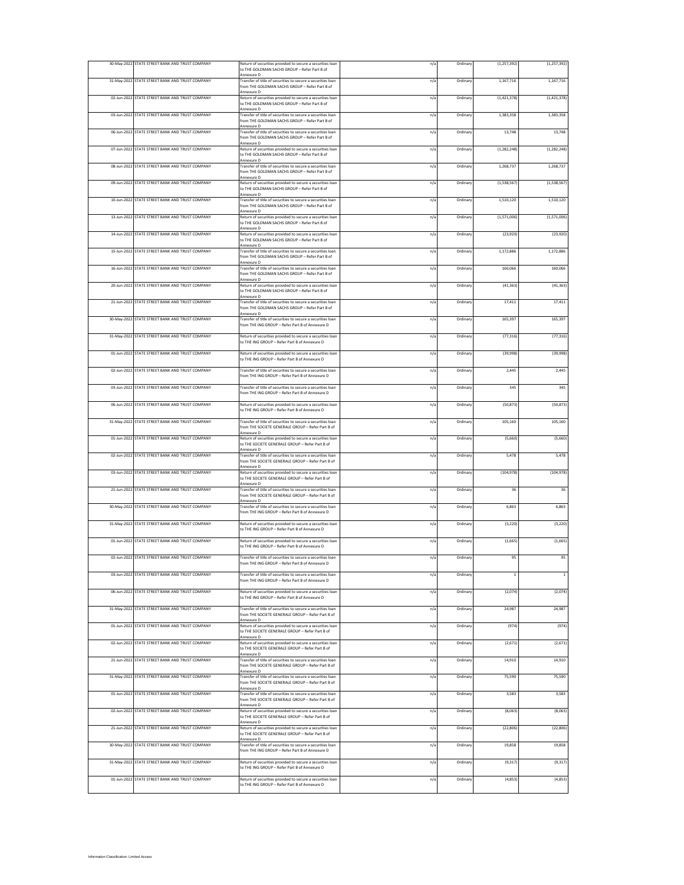|             | 30-May-2022 STATE STREET BANK AND TRUST COMPANY | Return of securities provided to secure a securities loan<br>to THE GOLDMAN SACHS GROUP - Refer Part B of                           | n/a           | Ordinar  | (1, 257, 392) | (1, 257, 392) |
|-------------|-------------------------------------------------|-------------------------------------------------------------------------------------------------------------------------------------|---------------|----------|---------------|---------------|
|             | 31-May-2022 STATE STREET BANK AND TRUST COMPANY | <b>Innexure D</b><br>Transfer of title of securities to secure a securities loan<br>from THE GOLDMAN SACHS GROUP - Refer Part B of  | n/a           | Ordinary | 1,167,716     | 1,167,716     |
|             | 02-Jun-2022 STATE STREET BANK AND TRUST COMPANY | Annexure D<br>leturn of securities provided to secure a securities loan<br>to THE GOLDMAN SACHS GROUP - Refer Part B of             | n/a           | Ordinar  | (1,421,378)   | (1,421,378)   |
|             | 03-Jun-2022 STATE STREET BANK AND TRUST COMPANY | Annexure D<br>Fransfer of title of securities to secure a securities loan<br>from THE GOLDMAN SACHS GROUP - Refer Part B of         | n/a           | Ordinary | 1,383,358     | 1,383,358     |
|             | 06-Jun-2022 STATE STREET BANK AND TRUST COMPANY | <b>Innexure D</b><br>Fransfer of title of securities to secure a securities loan<br>rom THE GOLDMAN SACHS GROUP - Refer Part B of   | n/a           | Ordinary | 13,748        | 13,748        |
|             | 07-Jun-2022 STATE STREET BANK AND TRUST COMPANY | <b>Innexure D</b><br>Return of securities provided to secure a securities loan                                                      | n/a           | Ordinan  | (1, 282, 248) | (1, 282, 248) |
|             | 08-Jun-2022 STATE STREET BANK AND TRUST COMPANY | to THE GOLDMAN SACHS GROUP - Refer Part B of<br>Annexure D<br>Transfer of title of securities to secure a securities loan           | n/a           | Ordinan  | 1,268,737     | 1,268,737     |
|             | 09-Jun-2022 STATE STREET BANK AND TRUST COMPANY | rom THE GOLDMAN SACHS GROUP - Refer Part B of<br>Annexure D<br>Return of securities provided to secure a securities loan            | n/a           | Ordinar  | (1,538,567)   | (1,538,567)   |
|             | 10-Jun-2022 STATE STREET BANK AND TRUST COMPANY | o THE GOLDMAN SACHS GROUP - Refer Part B of<br>Annexure D<br>Transfer of title of securities to secure a securities loan            | n/a           | Ordinar  | 1.510.120     | 1.510.120     |
|             |                                                 | from THE GOLDMAN SACHS GROUP - Refer Part B of<br>Annexure D<br>Return of securities provided to secure a securities loan           |               |          |               |               |
|             | 13-Jun-2022 STATE STREET BANK AND TRUST COMPANY | to THE GOLDMAN SACHS GROUP - Refer Part B of<br>Annexure D                                                                          | n/a           | Ordinary | (1,571,006)   | (1,571,006)   |
| 14-Jun-2022 | STATE STREET BANK AND TRUST COMPANY             | Return of securities provided to secure a securities loan<br>to THE GOLDMAN SACHS GROUP - Refer Part B of<br>Annexure D             | n/a           | Ordinary | (23, 920)     | (23,920)      |
|             | 15-Jun-2022 STATE STREET BANK AND TRUST COMPANY | Transfer of title of securities to secure a securities loan<br>from THE GOLDMAN SACHS GROUP - Refer Part B of<br>Annexure D         | n/a           | Ordinary | 1,172,886     | 1,172,886     |
|             | 16-Jun-2022 STATE STREET BANK AND TRUST COMPANY | Transfer of title of securities to secure a securities loan<br>from THE GOLDMAN SACHS GROUP - Refer Part B of<br>Annexure D         | n/a           | Ordinary | 160,066       | 160,066       |
|             | 20-Jun-2022 STATE STREET BANK AND TRUST COMPANY | Return of securities provided to secure a securities loan<br>to THE GOLDMAN SACHS GROUP - Refer Part B of<br>Annexure D             | n/a           | Ordinar  | (41, 363)     | (41, 363)     |
|             | 21-Jun-2022 STATE STREET BANK AND TRUST COMPANY | Transfer of title of securities to secure a securities loan<br>from THE GOLDMAN SACHS GROUP - Refer Part B of                       | n/a           | Ordinary | 17,411        | 17,411        |
|             | 30-May-2022 STATE STREET BANK AND TRUST COMPANY | Annexure D<br>ransfer of title of securities to secure a securities loan<br>rom THE ING GROUP - Refer Part B of Annexure D          | n/a           | Ordinary | 165,397       | 165,397       |
|             | 31-May-2022 STATE STREET BANK AND TRUST COMPANY | Return of securities provided to secure a securities loan<br>to THE ING GROUP - Refer Part B of Annexure D                          | n/a           | Ordinary | (77, 316)     | (77, 316)     |
|             | 01-Jun-2022 STATE STREET BANK AND TRUST COMPANY | Return of securities provided to secure a securities loan<br>to THE ING GROUP - Refer Part B of Annexure D                          | n/a           | Ordinary | (39,998)      | (39,998)      |
|             | 02-Jun-2022 STATE STREET BANK AND TRUST COMPANY | ransfer of title of securities to secure a securities loan<br>rom THE ING GROUP - Refer Part B of Annexure D                        | n/a           | Ordinary | 2.445         | 2,445         |
|             | 03-Jun-2022 STATE STREET BANK AND TRUST COMPANY | Transfer of title of securities to secure a securities loan<br>rom THE ING GROUP - Refer Part B of Annexure D                       | n/a           | Ordinan  | 345           | 345           |
|             | 06-Jun-2022 STATE STREET BANK AND TRUST COMPANY | Return of securities provided to secure a securities loan                                                                           | n/a           | Ordinary | (50, 873)     | (50, 873)     |
|             | 31-May-2022 STATE STREET BANK AND TRUST COMPANY | to THE ING GROUP - Refer Part B of Annexure D<br>Fransfer of title of securities to secure a securities loan                        | n/a           | Ordinary | 105,160       | 105,160       |
| 01-Jun-2022 | STATE STREET BANK AND TRUST COMPANY             | from THE SOCIETE GENERALE GROUP - Refer Part B of<br><b>Innexure D</b><br>Return of securities provided to secure a securities loan | n/a           | Ordinary | (5,660)       | (5,660)       |
| 02-Jun-2022 | STATE STREET BANK AND TRUST COMPANY             | to THE SOCIETE GENERALE GROUP - Refer Part B of<br>Annexure D<br>Transfer of title of securities to secure a securities loan        | n/a           | Ordinary | 5,478         | 5,478         |
|             | 03-Jun-2022 STATE STREET BANK AND TRUST COMPANY | from THE SOCIETE GENERALE GROUP - Refer Part B of<br>Return of securities provided to secure a securities loan                      | n/a           | Ordinan  | (104, 978)    | (104, 978)    |
|             | 21-Jun-2022 STATE STREET BANK AND TRUST COMPANY | to THE SOCIETE GENERALE GROUP - Refer Part B of<br><b>Innexure</b> D<br>Transfer of title of securities to secure a securities loan | n/a           | Ordinary | 36            | 36            |
|             |                                                 | from THE SOCIETE GENERALE GROUP - Refer Part B of<br>Annexure D                                                                     |               |          |               |               |
|             | 30-May-2022 STATE STREET BANK AND TRUST COMPANY | Fransfer of title of securities to secure a securities loan<br>rom THE ING GROUP - Refer Part B of Annexure D                       | n/a           | Ordinary | 6,863         | 6,863         |
|             | 31-May-2022 STATE STREET BANK AND TRUST COMPANY | Return of securities provided to secure a securities loan<br>to THE ING GROUP - Refer Part B of Annexure D                          | n/a           | Ordinary | (3, 220)      | (3, 220)      |
|             | 01-Jun-2022 STATE STREET BANK AND TRUST COMPANY | Return of securities provided to secure a securities loan<br>to THE ING GROUP - Refer Part B of Annexure D                          | n/a           | Ordinary | (1,665)       | (1,665)       |
|             | 02-Jun-2022 STATE STREET BANK AND TRUST COMPANY | Transfer of title of securities to secure a securities loan<br>from THE ING GROUP - Refer Part B of Annexure D                      | n/a           | Ordinary | 95            | 95            |
|             | 03-Jun-2022 STATE STREET BANK AND TRUST COMPANY | ransfer of title of securities to secure a securities loan<br>rom THE ING GROUP - Refer Part B of Annexure D                        | n/a           | Ordinary | 1             | $\mathbf{1}$  |
|             | 06-Jun-2022 STATE STREET BANK AND TRUST COMPANY | Return of securities provided to secure a securities loan<br>o THE ING GROUP - Refer Part B of Annexure D                           | n/a           | Ordinary | (2,074)       | (2,074)       |
|             | 31-May-2022 STATE STREET BANK AND TRUST COMPANY | Transfer of title of securities to secure a securities loan<br>from THE SOCIETE GENERALE GROUP - Refer Part B of                    | n/a           | Ordinan  | 24,987        | 24,987        |
|             | 01-Jun-2022 STATE STREET BANK AND TRUST COMPANY | Annexure D<br>Return of securities provided to secure a securities loan<br>to THE SOCIETE GENERALE GROUP - Refer Part B of          | n/a           | Ordinary | (974)         | (974)         |
|             | 02-Jun-2022 STATE STREET BANK AND TRUST COMPANY | Annexure D<br>Return of securities provided to secure a securities loan<br>to THE SOCIETE GENERALE GROUP - Refer Part B of          | n/a           | Ordinary | (2, 671)      | (2,671)       |
|             | 21-Jun-2022 STATE STREET BANK AND TRUST COMPANY | Annexure D<br>Transfer of title of securities to secure a securities loan<br>from THE SOCIETE GENERALE GROUP - Refer Part B of      | n/a           | Ordinary | 14,910        | 14,910        |
|             | 31-May-2022 STATE STREET BANK AND TRUST COMPANY | Annexure D<br>Transfer of title of securities to secure a securities loan<br>from THE SOCIETE GENERALE GROUP - Refer Part B of      | $n/\tilde{c}$ | Ordinary | 75.590        | 75,590        |
|             | 01-Jun-2022 STATE STREET BANK AND TRUST COMPANY | Annexure D<br>Transfer of title of securities to secure a securities loan<br>from THE SOCIETE GENERALE GROUP - Refer Part B of      | n/a           | Ordinary | 3,583         | 3,583         |
|             | 02-Jun-2022 STATE STREET BANK AND TRUST COMPANY | Annexure D<br>Return of securities provided to secure a securities loan                                                             | n/a           | Ordinary | (8,063)       | (8,063)       |
|             | 21-Jun-2022 STATE STREET BANK AND TRUST COMPANY | to THE SOCIETE GENERALE GROUP - Refer Part B of<br>Annexure D<br>Return of securities provided to secure a securities loan          | n/a           | Ordinary | (22, 806)     | (22, 806)     |
|             | 30-May-2022 STATE STREET BANK AND TRUST COMPANY | to THE SOCIETE GENERALE GROUP - Refer Part B of<br>Annexure D<br>Transfer of title of securities to secure a securities loan        | n/a           | Ordinary | 19,858        | 19,858        |
|             | 31-May-2022 STATE STREET BANK AND TRUST COMPANY | from THE ING GROUP - Refer Part B of Annexure D<br>Return of securities provided to secure a securities loan                        | n/a           | Ordinary | (9, 317)      | (9, 317)      |
|             | 01-Jun-2022 STATE STREET BANK AND TRUST COMPANY | to THE ING GROUP - Refer Part B of Annexure D<br>Return of securities provided to secure a securities loan                          | n/a           | Ordinary | (4,853)       | (4,853)       |
|             |                                                 | to THE ING GROUP - Refer Part B of Annexure D                                                                                       |               |          |               |               |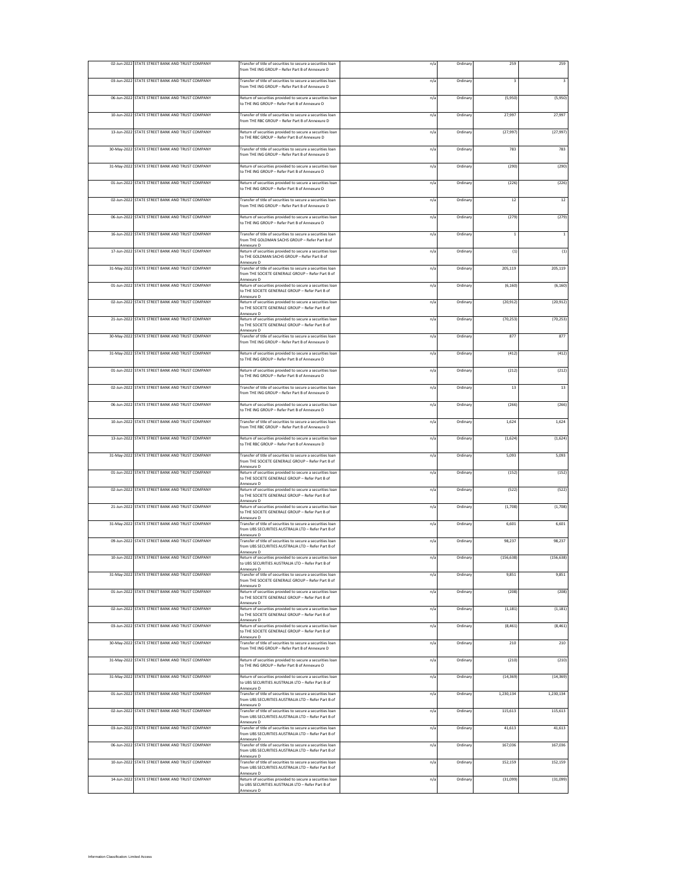| 02-Jun-2022 STATE STREET BANK AND TRUST COMPANY | Transfer of title of securities to secure a securities loan<br>from THE ING GROUP - Refer Part B of Annexure D                          | n/a | Ordinary | 259                     | 259                     |
|-------------------------------------------------|-----------------------------------------------------------------------------------------------------------------------------------------|-----|----------|-------------------------|-------------------------|
| 03-Jun-2022 STATE STREET BANK AND TRUST COMPANY | Transfer of title of securities to secure a securities loan<br>from THE ING GROUP - Refer Part B of Annexure D                          | n/a | Ordinar  | $\overline{\mathbf{3}}$ | $\overline{\mathbf{3}}$ |
| 06-Jun-2022 STATE STREET BANK AND TRUST COMPANY | Return of securities provided to secure a securities loan<br>to THE ING GROUP - Refer Part B of Annexure D                              | n/a | Ordinar  | (5,950)                 | (5,950)                 |
| 10-Jun-2022 STATE STREET BANK AND TRUST COMPANY | Transfer of title of securities to secure a securities loan<br>from THE RBC GROUP - Refer Part B of Annexure D                          | n/a | Ordinar  | 27,997                  | 27,997                  |
| 13-Jun-2022 STATE STREET BANK AND TRUST COMPANY | Return of securities provided to secure a securities loan<br>to THE RBC GROUP - Refer Part B of Annexure D                              | n/a | Ordinar  | (27, 997)               | (27, 997)               |
| 30-May-2022 STATE STREET BANK AND TRUST COMPANY | Transfer of title of securities to secure a securities loan<br>from THE ING GROUP - Refer Part B of Annexure D                          | n/a | Ordinary | 783                     | 783                     |
| 31-May-2022 STATE STREET BANK AND TRUST COMPANY | Return of securities provided to secure a securities loan                                                                               | n/a | Ordinar  | (290)                   | (290)                   |
| 01-Jun-2022 STATE STREET BANK AND TRUST COMPANY | to THE ING GROUP - Refer Part B of Annexure D<br>Return of securities provided to secure a securities loan                              | n/a | Ordinar  | (226)                   | (226)                   |
| 02-Jun-2022 STATE STREET BANK AND TRUST COMPANY | to THE ING GROUP - Refer Part B of Annexure D<br>Transfer of title of securities to secure a securities loan                            | n/a | Ordinar  | 12                      | 12                      |
| 06-Jun-2022 STATE STREET BANK AND TRUST COMPANY | rom THE ING GROUP - Refer Part B of Annexure D<br>Return of securities provided to secure a securities loan                             | n/a | Ordinar  | (279)                   | (279)                   |
| 16-Jun-2022 STATE STREET BANK AND TRUST COMPANY | to THE ING GROUP - Refer Part B of Annexure D<br>Transfer of title of securities to secure a securities loan                            | n/a | Ordinar  | $\,$ 1                  | $\,$ 1 $\,$             |
| 17-Jun-2022 STATE STREET BANK AND TRUST COMPANY | from THE GOLDMAN SACHS GROUP - Refer Part B of<br>Annexure D<br>Return of securities provided to secure a securities loan               | n/a | Ordinar  | (1)                     | (1)                     |
|                                                 | to THE GOLDMAN SACHS GROUP - Refer Part B of<br>Annexure D                                                                              |     |          |                         |                         |
| 31-May-2022 STATE STREET BANK AND TRUST COMPANY | Transfer of title of securities to secure a securities loan<br>from THE SOCIETE GENERALE GROUP - Refer Part B of                        | n/a | Ordinary | 205,119                 | 205,119                 |
| 01-Jun-2022 STATE STREET BANK AND TRUST COMPANY | Return of securities provided to secure a securities loan<br>to THE SOCIETE GENERALE GROUP - Refer Part B of<br>Annexure D              | n/a | Ordinar  | (6, 160)                | (6, 160)                |
| 02-Jun-2022 STATE STREET BANK AND TRUST COMPANY | Return of securities provided to secure a securities loan<br>to THE SOCIETE GENERALE GROUP - Refer Part B of<br>Annexure D              | n/a | Ordinar  | (20, 912)               | (20, 912)               |
| 21-Jun-2022 STATE STREET BANK AND TRUST COMPANY | Return of securities provided to secure a securities loan<br>to THE SOCIETE GENERALE GROUP - Refer Part B of<br>Annexure D              | n/a | Ordinar  | (70, 253)               | (70, 253)               |
| 30-May-2022 STATE STREET BANK AND TRUST COMPANY | Transfer of title of securities to secure a securities loan<br>from THE ING GROUP - Refer Part B of Annexure D                          | n/a | Ordinar  | 877                     | 877                     |
| 31-May-2022 STATE STREET BANK AND TRUST COMPANY | Return of securities provided to secure a securities loan<br>to THE ING GROUP - Refer Part B of Annexure D                              | n/a | Ordinar  | (412)                   | (412)                   |
| 01-Jun-2022 STATE STREET BANK AND TRUST COMPANY | Return of securities provided to secure a securities loan<br>to THE ING GROUP - Refer Part B of Annexure D                              | n/a | Ordinary | (212)                   | (212)                   |
| 02-Jun-2022 STATE STREET BANK AND TRUST COMPANY | Transfer of title of securities to secure a securities loan<br>from THE ING GROUP - Refer Part B of Annexure D                          | n/a | Ordinar  | 13                      | 13                      |
| 06-Jun-2022 STATE STREET BANK AND TRUST COMPANY | Return of securities provided to secure a securities loan<br>to THE ING GROUP - Refer Part B of Annexure D                              | n/a | Ordinar  | (266)                   | (266)                   |
| 10-Jun-2022 STATE STREET BANK AND TRUST COMPANY | Transfer of title of securities to secure a securities loan<br>from THE RBC GROUP - Refer Part B of Annexure D                          | n/a | Ordinar  | 1,624                   | 1,624                   |
| 13-Jun-2022 STATE STREET BANK AND TRUST COMPANY | Return of securities provided to secure a securities loan<br>to THE RBC GROUP - Refer Part B of Annexure D                              | n/a | Ordinar  | (1,624)                 | (1,624)                 |
| 31-May-2022 STATE STREET BANK AND TRUST COMPANY | Transfer of title of securities to secure a securities loan<br>from THE SOCIETE GENERALE GROUP - Refer Part B of                        | n/a | Ordinar  | 5,093                   | 5,093                   |
| 01-Jun-2022 STATE STREET BANK AND TRUST COMPANY | Annexure D<br>Return of securities provided to secure a securities loan<br>to THE SOCIETE GENERALE GROUP - Refer Part B of              | n/a | Ordinary | (152)                   | (152)                   |
| 02-Jun-2022 STATE STREET BANK AND TRUST COMPANY | <b>Innexure</b> D<br>Return of securities provided to secure a securities loan<br>to THE SOCIETE GENERALE GROUP - Refer Part B of       | n/a | Ordinar  | (522)                   | (522)                   |
| 21-Jun-2022 STATE STREET BANK AND TRUST COMPANY | Annexure D<br>Return of securities provided to secure a securities loan<br>to THE SOCIETE GENERALE GROUP - Refer Part B of              | n/a | Ordinar  | (1,708)                 | (1,708)                 |
| 31-May-2022 STATE STREET BANK AND TRUST COMPANY | <b>Innexure D</b><br>Transfer of title of securities to secure a securities loan<br>from UBS SECURITIES AUSTRALIA LTD - Refer Part B of | n/a | Ordinary | 6,601                   | 6,601                   |
| 09-Jun-2022 STATE STREET BANK AND TRUST COMPANY | Annexure D<br>Transfer of title of securities to secure a securities loan                                                               | n/a | Ordinar  | 98,237                  | 98,237                  |
| 10-Jun-2022 STATE STREET BANK AND TRUST COMPANY | from UBS SECURITIES AUSTRALIA LTD - Refer Part B of<br>Annexure D<br>Return of securities provided to secure a securities loan          | n/a | Ordinary | (156, 638)              | (156, 638)              |
| 31-May-2022 STATE STREET BANK AND TRUST COMPANY | to UBS SECURITIES AUSTRALIA LTD - Refer Part B of<br>Annexure D<br>Transfer of title of securities to secure a securities loan          | n/a | Ordinary | 9,851                   | 9,851                   |
| 01-Jun-2022 STATE STREET BANK AND TRUST COMPANY | from THE SOCIETE GENERALE GROUP - Refer Part B of<br>Annexure D<br>Return of securities provided to secure a securities loan            | n/a | Ordinan  | (208)                   | (208)                   |
| 02-Jun-2022 STATE STREET BANK AND TRUST COMPANY | to THE SOCIETE GENERALE GROUP - Refer Part B of<br>Annexure D<br>Return of securities provided to secure a securities loan              | n/a | Ordinan  | (1, 181)                | (1, 181)                |
| 03-Jun-2022 STATE STREET BANK AND TRUST COMPANY | to THE SOCIETE GENERALE GROUP - Refer Part B of<br>Annexure D<br>Return of securities provided to secure a securities loan              | n/a | Ordinary | (8, 461)                | (8, 461)                |
|                                                 | to THE SOCIETE GENERALE GROUP - Refer Part B of<br>Annexure D                                                                           |     |          |                         |                         |
| 30-May-2022 STATE STREET BANK AND TRUST COMPANY | Transfer of title of securities to secure a securities loan<br>from THE ING GROUP - Refer Part B of Annexure D                          | n/a | Ordinar  | 210                     | 210                     |
| 31-May-2022 STATE STREET BANK AND TRUST COMPANY | Return of securities provided to secure a securities loan<br>to THE ING GROUP - Refer Part B of Annexure D                              | n/a | Ordinary | (210)                   | (210)                   |
| 31-May-2022 STATE STREET BANK AND TRUST COMPANY | Return of securities provided to secure a securities loan<br>to UBS SECURITIES AUSTRALIA LTD - Refer Part B of<br>Annexure D            | n/a | Ordinary | (14, 369)               | (14, 369)               |
| 01-Jun-2022 STATE STREET BANK AND TRUST COMPANY | Transfer of title of securities to secure a securities loan<br>from UBS SECURITIES AUSTRALIA LTD - Refer Part B of<br>Annexure D        | n/a | Ordinar  | 1,230,134               | 1,230,134               |
| 02-Jun-2022 STATE STREET BANK AND TRUST COMPANY | Transfer of title of securities to secure a securities loan<br>from UBS SECURITIES AUSTRALIA LTD - Refer Part B of<br>Annexure D        | n/a | Ordinan  | 115,613                 | 115,613                 |
| 03-Jun-2022 STATE STREET BANK AND TRUST COMPANY | Transfer of title of securities to secure a securities loan<br>from UBS SECURITIES AUSTRALIA LTD - Refer Part B of<br>Annexure D        | n/a | Ordinary | 41,613                  | 41,613                  |
| 06-Jun-2022 STATE STREET BANK AND TRUST COMPANY | Transfer of title of securities to secure a securities loan<br>from UBS SECURITIES AUSTRALIA LTD - Refer Part B of                      | n/a | Ordinary | 167,036                 | 167,036                 |
| 10-Jun-2022 STATE STREET BANK AND TRUST COMPANY | Annexure D<br>Transfer of title of securities to secure a securities loan<br>from UBS SECURITIES AUSTRALIA LTD - Refer Part B of        | n/a | Ordinary | 152,159                 | 152,159                 |
| 14-Jun-2022 STATE STREET BANK AND TRUST COMPANY | Annexure D<br>Return of securities provided to secure a securities loan<br>to UBS SECURITIES AUSTRALIA LTD - Refer Part B of            | n/a | Ordinary | (31,099)                | (31,099)                |
|                                                 | Annexure D                                                                                                                              |     |          |                         |                         |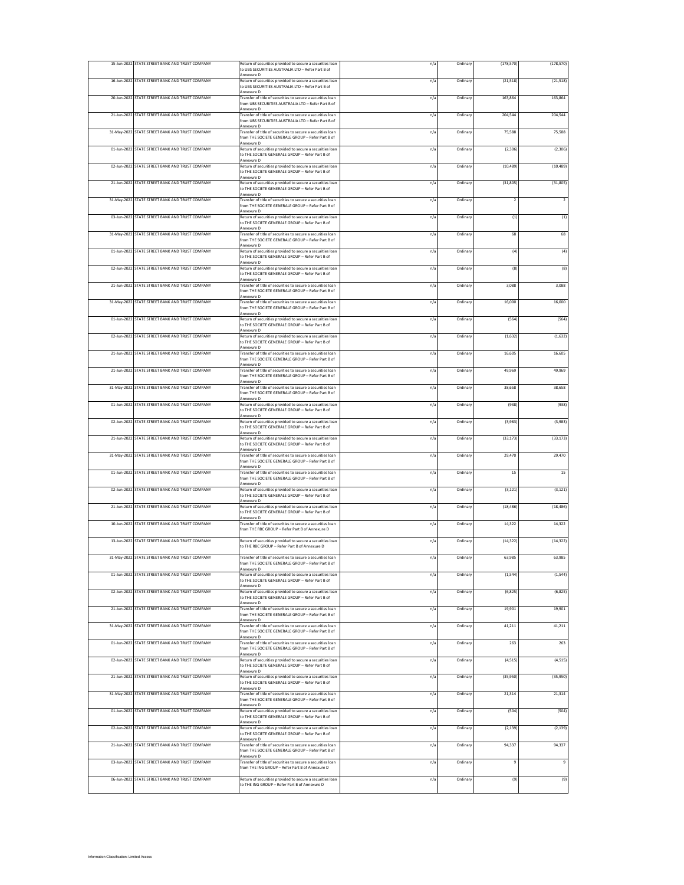|             | 15-Jun-2022 STATE STREET BANK AND TRUST COMPANY | Return of securities provided to secure a securities loan<br>to UBS SECURITIES AUSTRALIA LTD - Refer Part B of                                  | n/a | Ordinan  | (178, 570)     | (178, 570)     |
|-------------|-------------------------------------------------|-------------------------------------------------------------------------------------------------------------------------------------------------|-----|----------|----------------|----------------|
|             | 16-Jun-2022 STATE STREET BANK AND TRUST COMPANY | Annexure D<br>Return of securities provided to secure a securities loan<br>to UBS SECURITIES AUSTRALIA LTD - Refer Part B of                    | n/a | Ordinary | (21, 518)      | (21, 518)      |
|             | 20-Jun-2022 STATE STREET BANK AND TRUST COMPANY | Annexure D<br>Fransfer of title of securities to secure a securities loan                                                                       | n/a | Ordinar  | 163,864        | 163,864        |
|             | 21-Jun-2022 STATE STREET BANK AND TRUST COMPANY | from UBS SECURITIES AUSTRALIA LTD - Refer Part B of<br>Annexure D<br>Fransfer of title of securities to secure a securities loan                | n/a | Ordinary | 204,544        | 204,544        |
|             | 31-May-2022 STATE STREET BANK AND TRUST COMPANY | from UBS SECURITIES AUSTRALIA LTD - Refer Part B of<br><b>Innexure D</b><br>Fransfer of title of securities to secure a securities loan         | n/a | Ordinary | 75,588         | 75,588         |
|             |                                                 | rom THE SOCIETE GENERALE GROUP - Refer Part B of<br>Annexure D                                                                                  |     |          |                |                |
|             | 01-Jun-2022 STATE STREET BANK AND TRUST COMPANY | Return of securities provided to secure a securities loan<br>to THE SOCIETE GENERALE GROUP - Refer Part B of<br>Annexure D                      | n/a | Ordinary | (2, 306)       | (2, 306)       |
|             | 02-Jun-2022 STATE STREET BANK AND TRUST COMPANY | Return of securities provided to secure a securities loan<br>to THE SOCIETE GENERALE GROUP - Refer Part B of<br>Annexure D                      | n/a | Ordinan  | (10, 489)      | (10, 489)      |
|             | 21-Jun-2022 STATE STREET BANK AND TRUST COMPANY | Return of securities provided to secure a securities loan<br>to THE SOCIETE GENERALE GROUP - Refer Part B of                                    | n/a | Ordinary | (31, 805)      | (31, 805)      |
|             | 31-May-2022 STATE STREET BANK AND TRUST COMPANY | O enuzenné<br>Transfer of title of securities to secure a securities loan<br>from THE SOCIETE GENERALE GROUP - Refer Part B of                  | n/a | Ordinan  | $\overline{2}$ | $\overline{2}$ |
|             | 03-Jun-2022 STATE STREET BANK AND TRUST COMPANY | Annexure D<br>Return of securities provided to secure a securities loan<br>to THE SOCIETE GENERALE GROUP - Refer Part B of                      | n/a | Ordinary | (1)            | (1)            |
|             | 31-May-2022 STATE STREET BANK AND TRUST COMPANY | Annexure D<br>Transfer of title of securities to secure a securities loan<br>from THE SOCIETE GENERALE GROUP - Refer Part B of<br>Annexure D    | n/a | Ordinary | 68             | 68             |
|             | 01-Jun-2022 STATE STREET BANK AND TRUST COMPANY | Return of securities provided to secure a securities loan<br>to THE SOCIETE GENERALE GROUP - Refer Part B of                                    | n/a | Ordinary | (4)            | (4)            |
|             | 02-Jun-2022 STATE STREET BANK AND TRUST COMPANY | Annexure D<br>Return of securities provided to secure a securities loan<br>to THE SOCIETE GENERALE GROUP - Refer Part B of                      | n/a | Ordinary | (8)            | (8)            |
|             | 21-Jun-2022 STATE STREET BANK AND TRUST COMPANY | Annexure D<br>Transfer of title of securities to secure a securities loan<br>from THE SOCIETE GENERALE GROUP - Refer Part B of                  | n/a | Ordinar  | 3,088          | 3,088          |
|             | 31-May-2022 STATE STREET BANK AND TRUST COMPANY | Annexure D<br>Transfer of title of securities to secure a securities loan                                                                       | n/a | Ordinary | 16,000         | 16,000         |
|             | 01-Jun-2022 STATE STREET BANK AND TRUST COMPANY | from THE SOCIETE GENERALE GROUP - Refer Part B of<br>Annexure D<br>Return of securities provided to secure a securities loan                    | n/a | Ordinary | (564)          | (564)          |
|             | 02-Jun-2022 STATE STREET BANK AND TRUST COMPANY | to THE SOCIETE GENERALE GROUP - Refer Part B of<br><b>Innexure D</b><br>Return of securities provided to secure a securities loan               | n/a | Ordinary | (1,632)        | (1,632)        |
|             |                                                 | to THE SOCIETE GENERALE GROUP - Refer Part B of<br>Annexure D                                                                                   |     |          |                |                |
|             | 21-Jun-2022 STATE STREET BANK AND TRUST COMPANY | Transfer of title of securities to secure a securities loan<br>from THE SOCIETE GENERALE GROUP - Refer Part B of<br>Annexure D                  | n/a | Ordinary | 16,605         | 16,605         |
|             | 21-Jun-2022 STATE STREET BANK AND TRUST COMPANY | Transfer of title of securities to secure a securities loan<br>rom THE SOCIETE GENERALE GROUP - Refer Part B of<br>Annexure D                   | n/a | Ordinary | 49.969         | 49,969         |
|             | 31-May-2022 STATE STREET BANK AND TRUST COMPANY | Transfer of title of securities to secure a securities loan<br>rom THE SOCIETE GENERALE GROUP - Refer Part B of<br>Annexure D                   | n/a | Ordinan  | 38,658         | 38,658         |
|             | 01-Jun-2022 STATE STREET BANK AND TRUST COMPANY | Return of securities provided to secure a securities loan<br>to THE SOCIETE GENERALE GROUP - Refer Part B of<br>Annexure D                      | n/a | Ordinar  | (938)          | (938)          |
|             | 02-Jun-2022 STATE STREET BANK AND TRUST COMPANY | Return of securities provided to secure a securities loan<br>to THE SOCIETE GENERALE GROUP - Refer Part B of                                    | n/a | Ordinary | (3,983)        | (3,983)        |
|             | 21-Jun-2022 STATE STREET BANK AND TRUST COMPANY | <b>Innexure D</b><br>Return of securities provided to secure a securities loan<br>to THE SOCIETE GENERALE GROUP - Refer Part B of               | n/a | Ordinary | (33, 173)      | (33, 173)      |
| 31-May-2022 | STATE STREET BANK AND TRUST COMPANY             | Annexure D<br>Transfer of title of securities to secure a securities loan<br>from THE SOCIETE GENERALE GROUP - Refer Part B of                  | n/a | Ordinary | 29,470         | 29,470         |
| 01-Jun-2022 | STATE STREET BANK AND TRUST COMPANY             | Transfer of title of securities to secure a securities loan<br>from THE SOCIETE GENERALE GROUP - Refer Part B of                                | n/a | Ordinary | 15             | $15\,$         |
|             | 02-Jun-2022 STATE STREET BANK AND TRUST COMPANY | <b>Innexure</b> D<br>Return of securities provided to secure a securities loan<br>to THE SOCIETE GENERALE GROUP - Refer Part B of<br>Annexure D | n/a | Ordinary | (3, 121)       | (3, 121)       |
|             | 21-Jun-2022 STATE STREET BANK AND TRUST COMPANY | Return of securities provided to secure a securities loan<br>to THE SOCIETE GENERALE GROUP - Refer Part B of<br>Annexure D                      | n/a | Ordinary | (18, 486)      | (18, 486)      |
|             | 10-Jun-2022 STATE STREET BANK AND TRUST COMPANY | Fransfer of title of securities to secure a securities loan<br>from THE RBC GROUP - Refer Part B of Annexure D                                  | n/a | Ordinary | 14,322         | 14,322         |
|             | 13-Jun-2022 STATE STREET BANK AND TRUST COMPANY | Return of securities provided to secure a securities loan<br>to THE RBC GROUP - Refer Part B of Annexure D                                      | n/a | Ordinary | (14, 322)      | (14, 322)      |
|             | 31-May-2022 STATE STREET BANK AND TRUST COMPANY | Transfer of title of securities to secure a securities loan<br>from THE SOCIETE GENERALE GROUP - Refer Part B of                                | n/a | Ordinary | 63,985         | 63,985         |
|             | 01-Jun-2022 STATE STREET BANK AND TRUST COMPANY | Annexure D<br>Return of securities provided to secure a securities loan                                                                         | n/a | Ordinary | (1, 544)       | (1, 544)       |
|             | 02-Jun-2022 STATE STREET BANK AND TRUST COMPANY | to THE SOCIETE GENERALE GROUP - Refer Part B of<br>Annexure D<br>Return of securities provided to secure a securities loan                      | n/a | Ordinary | (6, 825)       | (6,825)        |
|             | 21-Jun-2022 STATE STREET BANK AND TRUST COMPANY | o THE SOCIETE GENERALE GROUP - Refer Part B of<br>Annexure D<br>Transfer of title of securities to secure a securities loan                     | n/a | Ordinary | 19,901         | 19,901         |
|             |                                                 | from THE SOCIETE GENERALE GROUP - Refer Part B of<br>Annexure D                                                                                 |     |          |                |                |
|             | 31-May-2022 STATE STREET BANK AND TRUST COMPANY | Transfer of title of securities to secure a securities loan<br>from THE SOCIETE GENERALE GROUP - Refer Part B of<br>Annexure D                  | n/a | Ordinary | 41,211         | 41,211         |
|             | 01-Jun-2022 STATE STREET BANK AND TRUST COMPANY | Transfer of title of securities to secure a securities loan<br>from THE SOCIETE GENERALE GROUP - Refer Part B of<br>Annexure D                  | n/a | Ordinary | 263            | 263            |
|             | 02-Jun-2022 STATE STREET BANK AND TRUST COMPANY | Return of securities provided to secure a securities loan<br>to THE SOCIETE GENERALE GROUP - Refer Part B of<br>Annexure D                      | n/a | Ordinary | (4, 515)       | (4, 515)       |
|             | 21-Jun-2022 STATE STREET BANK AND TRUST COMPANY | Return of securities provided to secure a securities loan<br>to THE SOCIETE GENERALE GROUP - Refer Part B of<br>Annexure D                      | n/a | Ordinary | (35,950)       | (35, 950)      |
|             | 31-May-2022 STATE STREET BANK AND TRUST COMPANY | Transfer of title of securities to secure a securities loan<br>from THE SOCIETE GENERALE GROUP - Refer Part B of                                | n/a | Ordinary | 21,314         | 21,314         |
|             | 01-Jun-2022 STATE STREET BANK AND TRUST COMPANY | Annexure D<br>Return of securities provided to secure a securities loan<br>to THE SOCIETE GENERALE GROUP - Refer Part B of                      | n/a | Ordinary | (504)          | (504)          |
|             | 02-Jun-2022 STATE STREET BANK AND TRUST COMPANY | Annexure D<br>Return of securities provided to secure a securities loan<br>to THE SOCIETE GENERALE GROUP - Refer Part B of                      | n/a | Ordinary | (2, 139)       | (2, 139)       |
|             | 21-Jun-2022 STATE STREET BANK AND TRUST COMPANY | Annexure D<br>Transfer of title of securities to secure a securities loan<br>from THE SOCIETE GENERALE GROUP - Refer Part B of                  | n/a | Ordinary | 94,337         | 94,337         |
|             | 03-Jun-2022 STATE STREET BANK AND TRUST COMPANY | Annexure D<br>Fransfer of title of securities to secure a securities loan<br>rom THE ING GROUP - Refer Part B of Annexure D                     | n/a | Ordinary | $\overline{9}$ | $\mathsf g$    |
|             | 06-Jun-2022 STATE STREET BANK AND TRUST COMPANY | Return of securities provided to secure a securities loan                                                                                       | n/a | Ordinary | (9)            | (9)            |
|             |                                                 | o THE ING GROUP - Refer Part B of Annexure D                                                                                                    |     |          |                |                |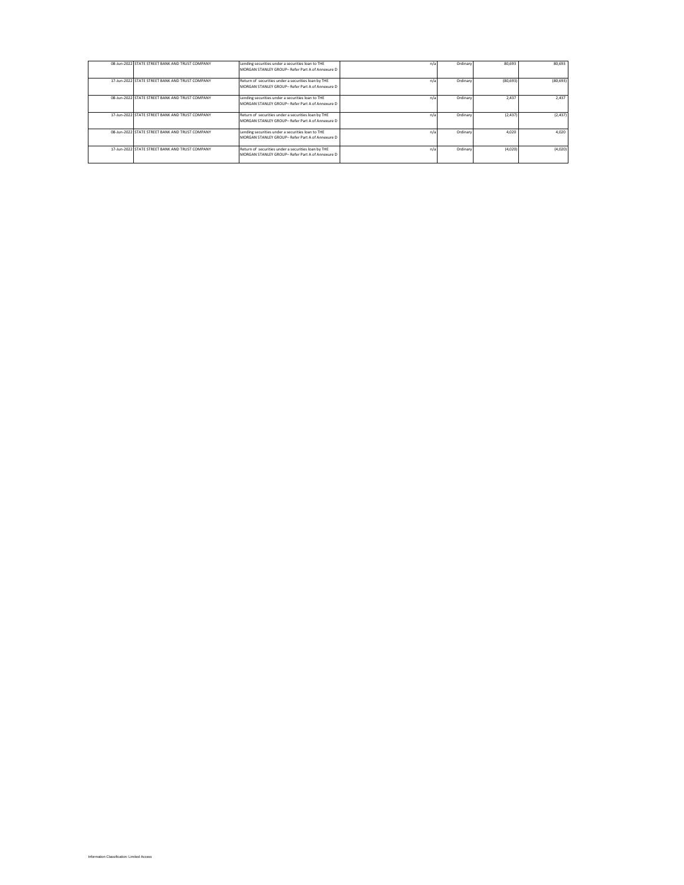| 08-Jun-2022 STATE STREET BANK AND TRUST COMPANY | Lending securities under a securities loan to THE<br>MORGAN STANLEY GROUP- Refer Part A of Annexure D   | n/z | Ordinary | 80,693   | 80.693    |
|-------------------------------------------------|---------------------------------------------------------------------------------------------------------|-----|----------|----------|-----------|
| 17-Jun-2022 STATE STREET BANK AND TRUST COMPANY | Return of securities under a securities loan by THE<br>MORGAN STANLEY GROUP- Refer Part A of Annexure D | n/z | Ordinary | (80.693) | (80, 693) |
| 08-Jun-2022 STATE STREET BANK AND TRUST COMPANY | Lending securities under a securities loan to THE<br>MORGAN STANLEY GROUP- Refer Part A of Annexure D   | n/a | Ordinary | 2.437    | 2.437     |
| 17-Jun-2022 STATE STREET BANK AND TRUST COMPANY | Return of securities under a securities loan by THE<br>MORGAN STANLEY GROUP- Refer Part A of Annexure D | n/s | Ordinary | (2.437)  | (2, 437)  |
| 08-Jun-2022 STATE STREET BANK AND TRUST COMPANY | Lending securities under a securities loan to THE<br>MORGAN STANLEY GROUP- Refer Part A of Annexure D   | n/s | Ordinary | 4.020    | 4.020     |
| 17-Jun-2022 STATE STREET BANK AND TRUST COMPANY | Return of securities under a securities loan by THE<br>MORGAN STANLEY GROUP- Refer Part A of Annexure D | n/; | Ordinary | (4.020)  | (4,020)   |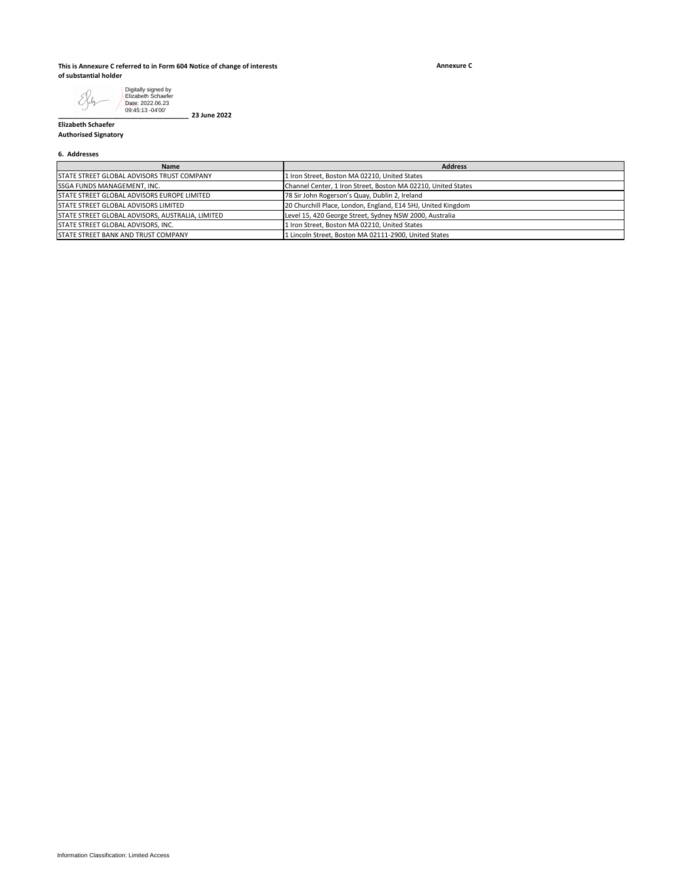### **This is Annexure C referred to in Form 604 Notice of change of interests of substantial holder**

**\_\_\_\_\_\_\_\_\_\_\_\_\_\_\_\_\_\_\_\_\_\_\_\_\_\_\_\_\_\_\_\_\_\_\_\_ 23 June 2022**

**Annexure C**

Digitally signed by Elizabeth Schaefer Date: 2022.06.23 09:45:13 -04'00'E Xih

**Elizabeth Schaefer Authorised Signatory**

### **6. Addresses**

| <b>Name</b>                                        | <b>Address</b>                                                |
|----------------------------------------------------|---------------------------------------------------------------|
| STATE STREET GLOBAL ADVISORS TRUST COMPANY         | 1 Iron Street, Boston MA 02210, United States                 |
| <b>ISSGA FUNDS MANAGEMENT. INC.</b>                | Channel Center, 1 Iron Street, Boston MA 02210, United States |
| <b>STATE STREET GLOBAL ADVISORS EUROPE LIMITED</b> | 78 Sir John Rogerson's Quay, Dublin 2, Ireland                |
| <b>STATE STREET GLOBAL ADVISORS LIMITED</b>        | 20 Churchill Place, London, England, E14 5HJ, United Kingdom  |
| STATE STREET GLOBAL ADVISORS, AUSTRALIA, LIMITED   | Level 15, 420 George Street, Sydney NSW 2000, Australia       |
| <b>STATE STREET GLOBAL ADVISORS. INC.</b>          | Iron Street, Boston MA 02210, United States                   |
| <b>STATE STREET BANK AND TRUST COMPANY</b>         | 1 Lincoln Street, Boston MA 02111-2900, United States         |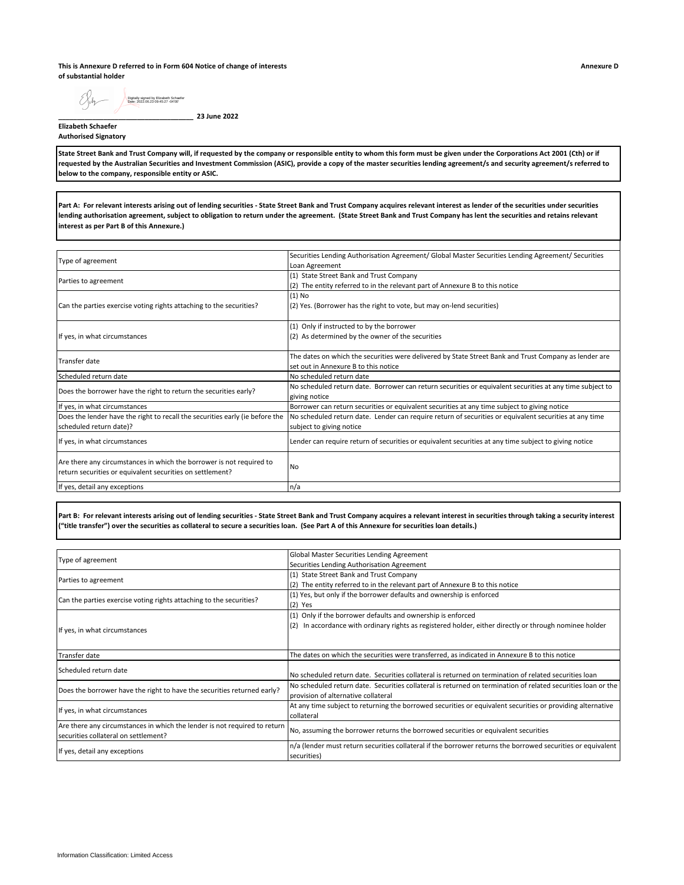**This is Annexure D referred to in Form 604 Notice of change of interests of substantial holder**

EXsh Digitally signed by Elizabeth Schaefer Date: 2022.06.23 09:45:27 -04'00'

**\_\_\_\_\_\_\_\_\_\_\_\_\_\_\_\_\_\_\_\_\_\_\_\_\_\_\_\_\_\_\_\_\_\_\_\_ 23 June 2022**

#### **Elizabeth Schaefer Authorised Signatory**

**State Street Bank and Trust Company will, if requested by the company or responsible entity to whom this form must be given under the Corporations Act 2001 (Cth) or if requested by the Australian Securities and Investment Commission (ASIC), provide a copy of the master securities lending agreement/s and security agreement/s referred to below to the company, responsible entity or ASIC.**

Part A: For relevant interests arising out of lending securities - State Street Bank and Trust Company acquires relevant interest as lender of the securities under securities **lending authorisation agreement, subject to obligation to return under the agreement. (State Street Bank and Trust Company has lent the securities and retains relevant interest as per Part B of this Annexure.)**

| Type of agreement                                                                                                                 | Securities Lending Authorisation Agreement/ Global Master Securities Lending Agreement/ Securities       |
|-----------------------------------------------------------------------------------------------------------------------------------|----------------------------------------------------------------------------------------------------------|
|                                                                                                                                   | Loan Agreement                                                                                           |
| Parties to agreement                                                                                                              | (1) State Street Bank and Trust Company                                                                  |
|                                                                                                                                   | (2) The entity referred to in the relevant part of Annexure B to this notice                             |
|                                                                                                                                   | $(1)$ No                                                                                                 |
| Can the parties exercise voting rights attaching to the securities?                                                               | (2) Yes. (Borrower has the right to vote, but may on-lend securities)                                    |
|                                                                                                                                   | (1) Only if instructed to by the borrower                                                                |
| If yes, in what circumstances                                                                                                     | (2) As determined by the owner of the securities                                                         |
|                                                                                                                                   |                                                                                                          |
| Transfer date                                                                                                                     | The dates on which the securities were delivered by State Street Bank and Trust Company as lender are    |
|                                                                                                                                   | set out in Annexure B to this notice                                                                     |
| Scheduled return date                                                                                                             | No scheduled return date                                                                                 |
| Does the borrower have the right to return the securities early?                                                                  | No scheduled return date. Borrower can return securities or equivalent securities at any time subject to |
|                                                                                                                                   | giving notice                                                                                            |
| If yes, in what circumstances                                                                                                     | Borrower can return securities or equivalent securities at any time subject to giving notice             |
| Does the lender have the right to recall the securities early (ie before the                                                      | No scheduled return date. Lender can require return of securities or equivalent securities at any time   |
| scheduled return date)?                                                                                                           | subject to giving notice                                                                                 |
| If yes, in what circumstances                                                                                                     | Lender can require return of securities or equivalent securities at any time subject to giving notice    |
| Are there any circumstances in which the borrower is not required to<br>return securities or equivalent securities on settlement? | N <sub>o</sub>                                                                                           |
|                                                                                                                                   |                                                                                                          |
| If yes, detail any exceptions                                                                                                     | n/a                                                                                                      |

Part B: For relevant interests arising out of lending securities - State Street Bank and Trust Company acquires a relevant interest in securities through taking a security interest **("title transfer") over the securities as collateral to secure a securities loan. (See Part A of this Annexure for securities loan details.)**

| Type of agreement                                                         | Global Master Securities Lending Agreement                                                                   |  |
|---------------------------------------------------------------------------|--------------------------------------------------------------------------------------------------------------|--|
|                                                                           | Securities Lending Authorisation Agreement                                                                   |  |
| Parties to agreement                                                      | (1) State Street Bank and Trust Company                                                                      |  |
|                                                                           | (2) The entity referred to in the relevant part of Annexure B to this notice                                 |  |
|                                                                           | (1) Yes, but only if the borrower defaults and ownership is enforced                                         |  |
| Can the parties exercise voting rights attaching to the securities?       | $(2)$ Yes                                                                                                    |  |
|                                                                           | (1) Only if the borrower defaults and ownership is enforced                                                  |  |
|                                                                           | (2) In accordance with ordinary rights as registered holder, either directly or through nominee holder       |  |
| If yes, in what circumstances                                             |                                                                                                              |  |
|                                                                           |                                                                                                              |  |
| <b>Transfer date</b>                                                      | The dates on which the securities were transferred, as indicated in Annexure B to this notice                |  |
| Scheduled return date                                                     |                                                                                                              |  |
|                                                                           | No scheduled return date. Securities collateral is returned on termination of related securities loan        |  |
|                                                                           | No scheduled return date. Securities collateral is returned on termination of related securities loan or the |  |
| Does the borrower have the right to have the securities returned early?   | provision of alternative collateral                                                                          |  |
|                                                                           | At any time subject to returning the borrowed securities or equivalent securities or providing alternative   |  |
| If yes, in what circumstances                                             | collateral                                                                                                   |  |
| Are there any circumstances in which the lender is not required to return |                                                                                                              |  |
| securities collateral on settlement?                                      | No, assuming the borrower returns the borrowed securities or equivalent securities                           |  |
|                                                                           | n/a (lender must return securities collateral if the borrower returns the borrowed securities or equivalent  |  |
| If yes, detail any exceptions                                             | securities)                                                                                                  |  |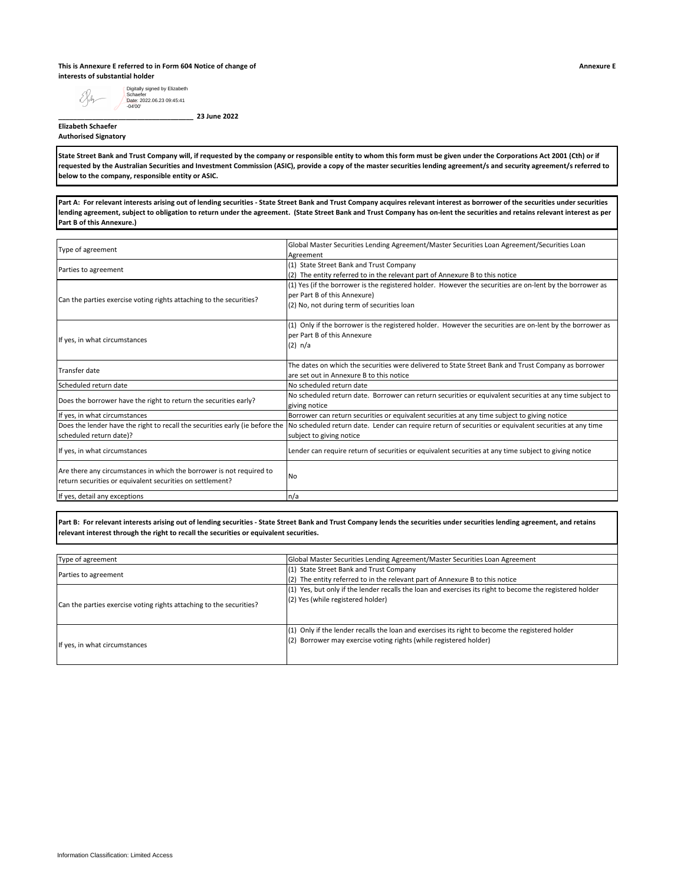### **This is Annexure E referred to in Form 604 Notice of change of interests of substantial holder**

Digitally signed by Elizabeth Schaefer Date: 2022.06.23 09:45:41 -04'00'EXdr

**\_\_\_\_\_\_\_\_\_\_\_\_\_\_\_\_\_\_\_\_\_\_\_\_\_\_\_\_\_\_\_\_\_\_\_\_ 23 June 2022**

**Elizabeth Schaefer Authorised Signatory**

State Street Bank and Trust Company will, if requested by the company or responsible entity to whom this form must be given under the Corporations Act 2001 (Cth) or if **requested by the Australian Securities and Investment Commission (ASIC), provide a copy of the master securities lending agreement/s and security agreement/s referred to below to the company, responsible entity or ASIC.**

Part A: For relevant interests arising out of lending securities - State Street Bank and Trust Company acquires relevant interest as borrower of the securities under securities **lending agreement, subject to obligation to return under the agreement. (State Street Bank and Trust Company has on-lent the securities and retains relevant interest as per Part B of this Annexure.)**

| Type of agreement                                                                                                                 | Global Master Securities Lending Agreement/Master Securities Loan Agreement/Securities Loan                               |
|-----------------------------------------------------------------------------------------------------------------------------------|---------------------------------------------------------------------------------------------------------------------------|
|                                                                                                                                   | Agreement                                                                                                                 |
| Parties to agreement                                                                                                              | (1) State Street Bank and Trust Company                                                                                   |
|                                                                                                                                   | (2) The entity referred to in the relevant part of Annexure B to this notice                                              |
|                                                                                                                                   | (1) Yes (if the borrower is the registered holder. However the securities are on-lent by the borrower as                  |
| Can the parties exercise voting rights attaching to the securities?                                                               | per Part B of this Annexure)                                                                                              |
|                                                                                                                                   | (2) No, not during term of securities loan                                                                                |
|                                                                                                                                   | (1) Only if the borrower is the registered holder. However the securities are on-lent by the borrower as                  |
|                                                                                                                                   | per Part B of this Annexure                                                                                               |
| If yes, in what circumstances                                                                                                     | (2) n/a                                                                                                                   |
|                                                                                                                                   |                                                                                                                           |
| Transfer date                                                                                                                     | The dates on which the securities were delivered to State Street Bank and Trust Company as borrower                       |
|                                                                                                                                   | are set out in Annexure B to this notice                                                                                  |
| Scheduled return date                                                                                                             | No scheduled return date                                                                                                  |
| Does the borrower have the right to return the securities early?                                                                  | No scheduled return date. Borrower can return securities or equivalent securities at any time subject to<br>giving notice |
| If yes, in what circumstances                                                                                                     | Borrower can return securities or equivalent securities at any time subject to giving notice                              |
| Does the lender have the right to recall the securities early (ie before the                                                      | No scheduled return date. Lender can require return of securities or equivalent securities at any time                    |
| scheduled return date)?                                                                                                           | subject to giving notice                                                                                                  |
| If yes, in what circumstances                                                                                                     | Lender can require return of securities or equivalent securities at any time subject to giving notice                     |
| Are there any circumstances in which the borrower is not required to<br>return securities or equivalent securities on settlement? | No                                                                                                                        |
| If yes, detail any exceptions                                                                                                     | n/a                                                                                                                       |

**Part B: For relevant interests arising out of lending securities - State Street Bank and Trust Company lends the securities under securities lending agreement, and retains relevant interest through the right to recall the securities or equivalent securities.**

| Type of agreement                                                   | Global Master Securities Lending Agreement/Master Securities Loan Agreement                                                                                          |
|---------------------------------------------------------------------|----------------------------------------------------------------------------------------------------------------------------------------------------------------------|
| Parties to agreement                                                | (1) State Street Bank and Trust Company<br>(2) The entity referred to in the relevant part of Annexure B to this notice                                              |
| Can the parties exercise voting rights attaching to the securities? | (1) Yes, but only if the lender recalls the loan and exercises its right to become the registered holder<br>(2) Yes (while registered holder)                        |
| If yes, in what circumstances                                       | (1) Only if the lender recalls the loan and exercises its right to become the registered holder<br>(2) Borrower may exercise voting rights (while registered holder) |